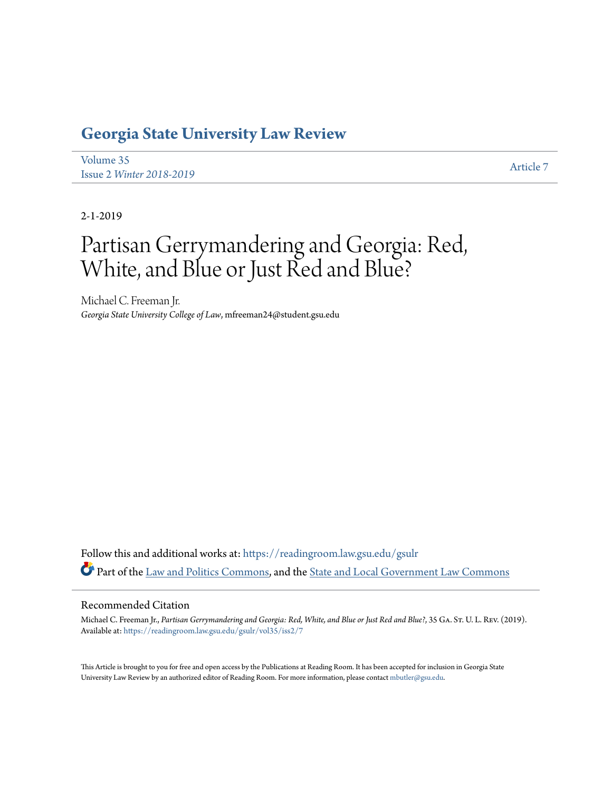# **[Georgia State University Law Review](https://readingroom.law.gsu.edu/gsulr?utm_source=readingroom.law.gsu.edu%2Fgsulr%2Fvol35%2Fiss2%2F7&utm_medium=PDF&utm_campaign=PDFCoverPages)**

[Volume 35](https://readingroom.law.gsu.edu/gsulr/vol35?utm_source=readingroom.law.gsu.edu%2Fgsulr%2Fvol35%2Fiss2%2F7&utm_medium=PDF&utm_campaign=PDFCoverPages) Issue 2 *[Winter 2018-2019](https://readingroom.law.gsu.edu/gsulr/vol35/iss2?utm_source=readingroom.law.gsu.edu%2Fgsulr%2Fvol35%2Fiss2%2F7&utm_medium=PDF&utm_campaign=PDFCoverPages)* [Article 7](https://readingroom.law.gsu.edu/gsulr/vol35/iss2/7?utm_source=readingroom.law.gsu.edu%2Fgsulr%2Fvol35%2Fiss2%2F7&utm_medium=PDF&utm_campaign=PDFCoverPages)

2-1-2019

# Partisan Gerrymandering and Georgia: Red, White, and Blue or Just Red and Blue?

Michael C. Freeman Jr. *Georgia State University College of Law*, mfreeman24@student.gsu.edu

Follow this and additional works at: [https://readingroom.law.gsu.edu/gsulr](https://readingroom.law.gsu.edu/gsulr?utm_source=readingroom.law.gsu.edu%2Fgsulr%2Fvol35%2Fiss2%2F7&utm_medium=PDF&utm_campaign=PDFCoverPages) Part of the [Law and Politics Commons](http://network.bepress.com/hgg/discipline/867?utm_source=readingroom.law.gsu.edu%2Fgsulr%2Fvol35%2Fiss2%2F7&utm_medium=PDF&utm_campaign=PDFCoverPages), and the [State and Local Government Law Commons](http://network.bepress.com/hgg/discipline/879?utm_source=readingroom.law.gsu.edu%2Fgsulr%2Fvol35%2Fiss2%2F7&utm_medium=PDF&utm_campaign=PDFCoverPages)

#### Recommended Citation

Michael C. Freeman Jr., *Partisan Gerrymandering and Georgia: Red, White, and Blue or Just Red and Blue?*, 35 Ga. St. U. L. Rev. (2019). Available at: [https://readingroom.law.gsu.edu/gsulr/vol35/iss2/7](https://readingroom.law.gsu.edu/gsulr/vol35/iss2/7?utm_source=readingroom.law.gsu.edu%2Fgsulr%2Fvol35%2Fiss2%2F7&utm_medium=PDF&utm_campaign=PDFCoverPages)

This Article is brought to you for free and open access by the Publications at Reading Room. It has been accepted for inclusion in Georgia State University Law Review by an authorized editor of Reading Room. For more information, please contact [mbutler@gsu.edu.](mailto:mbutler@gsu.edu)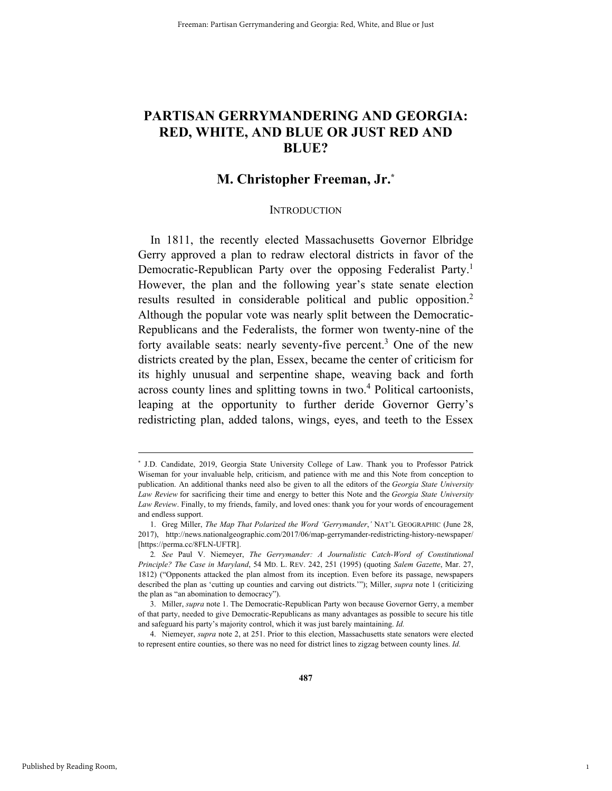# **PARTISAN GERRYMANDERING AND GEORGIA: RED, WHITE, AND BLUE OR JUST RED AND BLUE?**

### **M. Christopher Freeman, Jr.\***

#### **INTRODUCTION**

In 1811, the recently elected Massachusetts Governor Elbridge Gerry approved a plan to redraw electoral districts in favor of the Democratic-Republican Party over the opposing Federalist Party.<sup>1</sup> However, the plan and the following year's state senate election results resulted in considerable political and public opposition.2 Although the popular vote was nearly split between the Democratic-Republicans and the Federalists, the former won twenty-nine of the forty available seats: nearly seventy-five percent.<sup>3</sup> One of the new districts created by the plan, Essex, became the center of criticism for its highly unusual and serpentine shape, weaving back and forth across county lines and splitting towns in two.<sup>4</sup> Political cartoonists, leaping at the opportunity to further deride Governor Gerry's redistricting plan, added talons, wings, eyes, and teeth to the Essex

1

 <sup>\*</sup> \* J.D. Candidate, 2019, Georgia State University College of Law. Thank you to Professor Patrick Wiseman for your invaluable help, criticism, and patience with me and this Note from conception to publication. An additional thanks need also be given to all the editors of the *Georgia State University Law Review* for sacrificing their time and energy to better this Note and the *Georgia State University Law Review*. Finally, to my friends, family, and loved ones: thank you for your words of encouragement and endless support.

 <sup>1.</sup> Greg Miller, *The Map That Polarized the Word 'Gerrymander*,*'* NAT'L GEOGRAPHIC (June 28, 2017), http://news.nationalgeographic.com/2017/06/map-gerrymander-redistricting-history-newspaper/ [https://perma.cc/8FLN-UFTR].

<sup>2</sup>*. See* Paul V. Niemeyer, *The Gerrymander: A Journalistic Catch-Word of Constitutional Principle? The Case in Maryland*, 54 MD. L. REV. 242, 251 (1995) (quoting *Salem Gazette*, Mar. 27, 1812) ("Opponents attacked the plan almost from its inception. Even before its passage, newspapers described the plan as 'cutting up counties and carving out districts.'"); Miller, *supra* note 1 (criticizing the plan as "an abomination to democracy").

 <sup>3.</sup> Miller, *supra* note 1. The Democratic-Republican Party won because Governor Gerry, a member of that party, needed to give Democratic-Republicans as many advantages as possible to secure his title and safeguard his party's majority control, which it was just barely maintaining. *Id.* 

 <sup>4.</sup> Niemeyer, *supra* note 2, at 251. Prior to this election, Massachusetts state senators were elected to represent entire counties, so there was no need for district lines to zigzag between county lines. *Id.*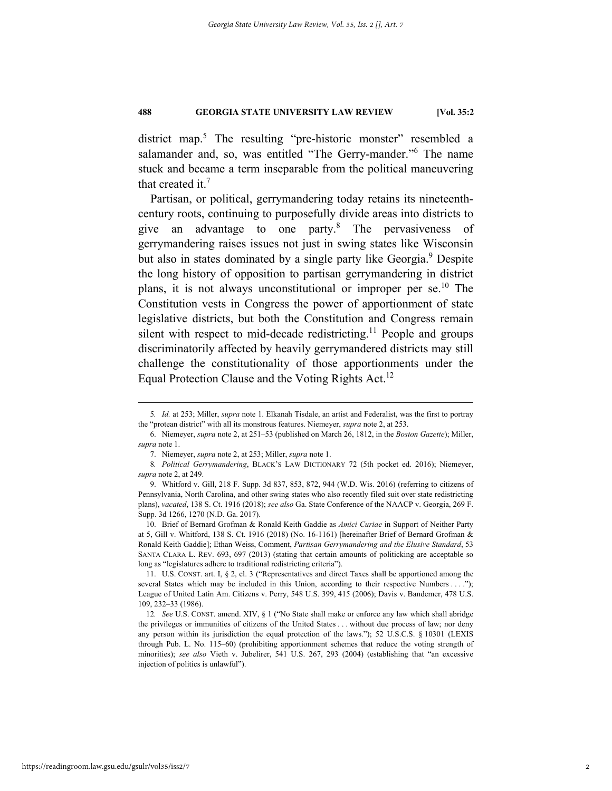district map.<sup>5</sup> The resulting "pre-historic monster" resembled a salamander and, so, was entitled "The Gerry-mander."<sup>6</sup> The name stuck and became a term inseparable from the political maneuvering that created it.<sup>7</sup>

Partisan, or political, gerrymandering today retains its nineteenthcentury roots, continuing to purposefully divide areas into districts to give an advantage to one party. $8$  The pervasiveness of gerrymandering raises issues not just in swing states like Wisconsin but also in states dominated by a single party like Georgia.<sup>9</sup> Despite the long history of opposition to partisan gerrymandering in district plans, it is not always unconstitutional or improper per  $\epsilon$ .<sup>10</sup> The Constitution vests in Congress the power of apportionment of state legislative districts, but both the Constitution and Congress remain silent with respect to mid-decade redistricting.<sup>11</sup> People and groups discriminatorily affected by heavily gerrymandered districts may still challenge the constitutionality of those apportionments under the Equal Protection Clause and the Voting Rights Act.<sup>12</sup>

 10. Brief of Bernard Grofman & Ronald Keith Gaddie as *Amici Curiae* in Support of Neither Party at 5, Gill v. Whitford, 138 S. Ct. 1916 (2018) (No. 16-1161) [hereinafter Brief of Bernard Grofman & Ronald Keith Gaddie]; Ethan Weiss, Comment, *Partisan Gerrymandering and the Elusive Standard*, 53 SANTA CLARA L. REV. 693, 697 (2013) (stating that certain amounts of politicking are acceptable so long as "legislatures adhere to traditional redistricting criteria").

 11. U.S. CONST. art. I, § 2, cl. 3 ("Representatives and direct Taxes shall be apportioned among the several States which may be included in this Union, according to their respective Numbers . . . ."); League of United Latin Am. Citizens v. Perry, 548 U.S. 399, 415 (2006); Davis v. Bandemer, 478 U.S. 109, 232–33 (1986).

12*. See* U.S. CONST. amend. XIV, § 1 ("No State shall make or enforce any law which shall abridge the privileges or immunities of citizens of the United States . . . without due process of law; nor deny any person within its jurisdiction the equal protection of the laws."); 52 U.S.C.S. § 10301 (LEXIS through Pub. L. No. 115–60) (prohibiting apportionment schemes that reduce the voting strength of minorities); *see also* Vieth v. Jubelirer, 541 U.S. 267, 293 (2004) (establishing that "an excessive injection of politics is unlawful").

 <sup>5</sup>*. Id.* at 253; Miller, *supra* note 1. Elkanah Tisdale, an artist and Federalist, was the first to portray the "protean district" with all its monstrous features. Niemeyer, *supra* note 2, at 253.

 <sup>6.</sup> Niemeyer, *supra* note 2, at 251–53 (published on March 26, 1812, in the *Boston Gazette*); Miller, *supra* note 1.

 <sup>7.</sup> Niemeyer, *supra* note 2, at 253; Miller, *supra* note 1.

<sup>8</sup>*. Political Gerrymandering*, BLACK'S LAW DICTIONARY 72 (5th pocket ed. 2016); Niemeyer, *supra* note 2, at 249.

 <sup>9.</sup> Whitford v. Gill, 218 F. Supp. 3d 837, 853, 872, 944 (W.D. Wis. 2016) (referring to citizens of Pennsylvania, North Carolina, and other swing states who also recently filed suit over state redistricting plans), *vacated*, 138 S. Ct. 1916 (2018); *see also* Ga. State Conference of the NAACP v. Georgia, 269 F. Supp. 3d 1266, 1270 (N.D. Ga. 2017).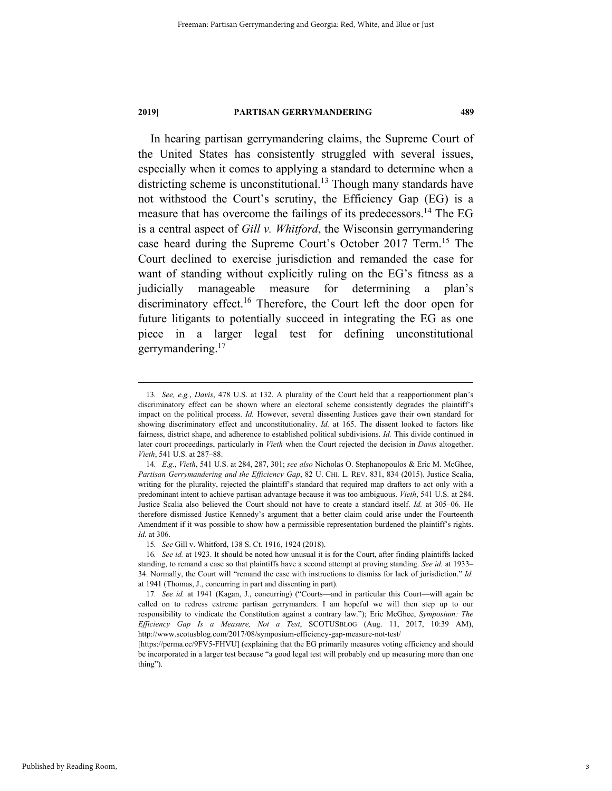In hearing partisan gerrymandering claims, the Supreme Court of the United States has consistently struggled with several issues, especially when it comes to applying a standard to determine when a districting scheme is unconstitutional.<sup>13</sup> Though many standards have not withstood the Court's scrutiny, the Efficiency Gap (EG) is a measure that has overcome the failings of its predecessors.<sup>14</sup> The EG is a central aspect of *Gill v. Whitford*, the Wisconsin gerrymandering case heard during the Supreme Court's October 2017 Term.15 The Court declined to exercise jurisdiction and remanded the case for want of standing without explicitly ruling on the EG's fitness as a judicially manageable measure for determining a plan's discriminatory effect.<sup>16</sup> Therefore, the Court left the door open for future litigants to potentially succeed in integrating the EG as one piece in a larger legal test for defining unconstitutional gerrymandering.<sup>17</sup>

 <sup>13</sup>*. See, e.g.*, *Davis*, 478 U.S. at 132. A plurality of the Court held that a reapportionment plan's discriminatory effect can be shown where an electoral scheme consistently degrades the plaintiff's impact on the political process. *Id.* However, several dissenting Justices gave their own standard for showing discriminatory effect and unconstitutionality. *Id.* at 165. The dissent looked to factors like fairness, district shape, and adherence to established political subdivisions. *Id.* This divide continued in later court proceedings, particularly in *Vieth* when the Court rejected the decision in *Davis* altogether. *Vieth*, 541 U.S. at 287–88.

<sup>14</sup>*. E.g.*, *Vieth*, 541 U.S. at 284, 287, 301; *see also* Nicholas O. Stephanopoulos & Eric M. McGhee, *Partisan Gerrymandering and the Efficiency Gap*, 82 U. CHI. L. REV. 831, 834 (2015). Justice Scalia, writing for the plurality, rejected the plaintiff's standard that required map drafters to act only with a predominant intent to achieve partisan advantage because it was too ambiguous. *Vieth*, 541 U.S. at 284. Justice Scalia also believed the Court should not have to create a standard itself. *Id.* at 305–06. He therefore dismissed Justice Kennedy's argument that a better claim could arise under the Fourteenth Amendment if it was possible to show how a permissible representation burdened the plaintiff's rights. *Id.* at 306.

<sup>15</sup>*. See* Gill v. Whitford, 138 S. Ct. 1916, 1924 (2018).

<sup>16</sup>*. See id.* at 1923. It should be noted how unusual it is for the Court, after finding plaintiffs lacked standing, to remand a case so that plaintiffs have a second attempt at proving standing. *See id.* at 1933– 34. Normally, the Court will "remand the case with instructions to dismiss for lack of jurisdiction." *Id.*  at 1941 (Thomas, J., concurring in part and dissenting in part).

<sup>17</sup>*. See id.* at 1941 (Kagan, J., concurring) ("Courts—and in particular this Court—will again be called on to redress extreme partisan gerrymanders. I am hopeful we will then step up to our responsibility to vindicate the Constitution against a contrary law."); Eric McGhee, *Symposium: The Efficiency Gap Is a Measure, Not a Test*, SCOTUSBLOG (Aug. 11, 2017, 10:39 AM), http://www.scotusblog.com/2017/08/symposium-efficiency-gap-measure-not-test/

<sup>[</sup>https://perma.cc/9FV5-FHVU] (explaining that the EG primarily measures voting efficiency and should be incorporated in a larger test because "a good legal test will probably end up measuring more than one thing").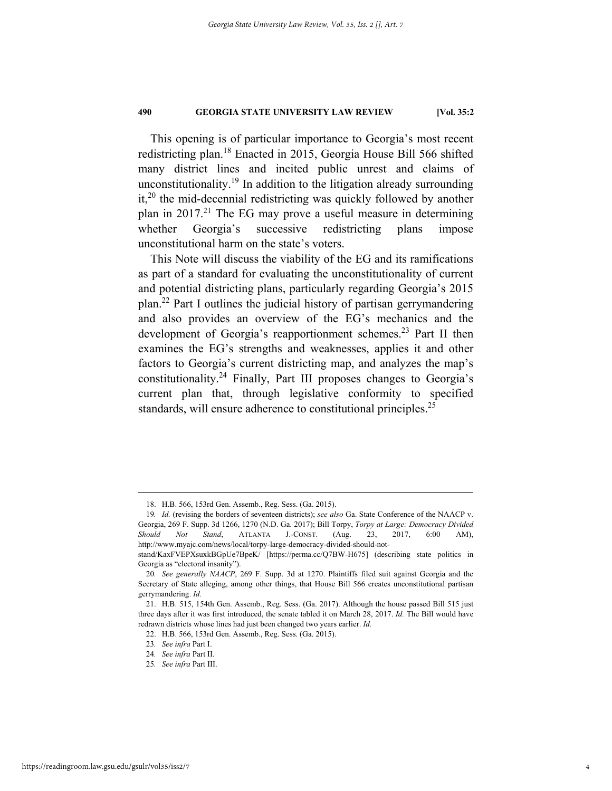This opening is of particular importance to Georgia's most recent redistricting plan.18 Enacted in 2015, Georgia House Bill 566 shifted many district lines and incited public unrest and claims of unconstitutionality.<sup>19</sup> In addition to the litigation already surrounding it,<sup>20</sup> the mid-decennial redistricting was quickly followed by another plan in  $2017<sup>21</sup>$  The EG may prove a useful measure in determining whether Georgia's successive redistricting plans impose unconstitutional harm on the state's voters.

This Note will discuss the viability of the EG and its ramifications as part of a standard for evaluating the unconstitutionality of current and potential districting plans, particularly regarding Georgia's 2015 plan.22 Part I outlines the judicial history of partisan gerrymandering and also provides an overview of the EG's mechanics and the development of Georgia's reapportionment schemes.<sup>23</sup> Part II then examines the EG's strengths and weaknesses, applies it and other factors to Georgia's current districting map, and analyzes the map's constitutionality.24 Finally, Part III proposes changes to Georgia's current plan that, through legislative conformity to specified standards, will ensure adherence to constitutional principles.<sup>25</sup>

 <sup>18.</sup> H.B. 566, 153rd Gen. Assemb., Reg. Sess. (Ga. 2015).

<sup>19</sup>*. Id.* (revising the borders of seventeen districts); *see also* Ga. State Conference of the NAACP v. Georgia, 269 F. Supp. 3d 1266, 1270 (N.D. Ga. 2017); Bill Torpy, *Torpy at Large: Democracy Divided Should Not Stand*, ATLANTA J.-CONST. (Aug. 23, 2017, 6:00 AM), http://www.myajc.com/news/local/torpy-large-democracy-divided-should-not-

stand/KaxFVEPXsuxkBGpUe7BpeK/ [https://perma.cc/Q7BW-H675] (describing state politics in Georgia as "electoral insanity").

<sup>20</sup>*. See generally NAACP*, 269 F. Supp. 3d at 1270. Plaintiffs filed suit against Georgia and the Secretary of State alleging, among other things, that House Bill 566 creates unconstitutional partisan gerrymandering. *Id.* 

 <sup>21.</sup> H.B. 515, 154th Gen. Assemb., Reg. Sess. (Ga. 2017). Although the house passed Bill 515 just three days after it was first introduced, the senate tabled it on March 28, 2017. *Id.* The Bill would have redrawn districts whose lines had just been changed two years earlier. *Id.*

 <sup>22.</sup> H.B. 566, 153rd Gen. Assemb., Reg. Sess. (Ga. 2015).

<sup>23</sup>*. See infra* Part I.

<sup>24</sup>*. See infra* Part II.

<sup>25</sup>*. See infra* Part III.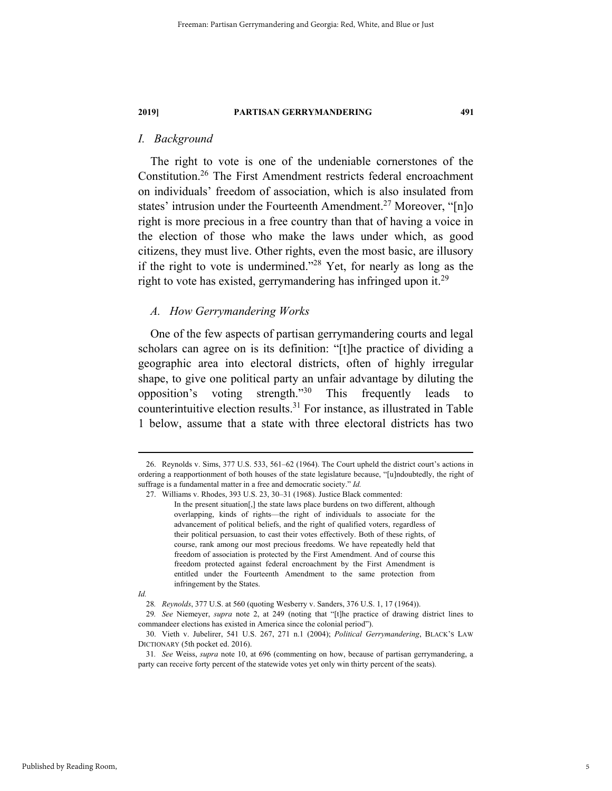### *I. Background*

The right to vote is one of the undeniable cornerstones of the Constitution.26 The First Amendment restricts federal encroachment on individuals' freedom of association, which is also insulated from states' intrusion under the Fourteenth Amendment.<sup>27</sup> Moreover, " $[n]$ o right is more precious in a free country than that of having a voice in the election of those who make the laws under which, as good citizens, they must live. Other rights, even the most basic, are illusory if the right to vote is undermined."28 Yet, for nearly as long as the right to vote has existed, gerrymandering has infringed upon it.<sup>29</sup>

#### *A. How Gerrymandering Works*

One of the few aspects of partisan gerrymandering courts and legal scholars can agree on is its definition: "[t]he practice of dividing a geographic area into electoral districts, often of highly irregular shape, to give one political party an unfair advantage by diluting the opposition's voting strength."30 This frequently leads to counterintuitive election results. $31$  For instance, as illustrated in Table 1 below, assume that a state with three electoral districts has two

 <sup>26.</sup> Reynolds v. Sims, 377 U.S. 533, 561–62 (1964). The Court upheld the district court's actions in ordering a reapportionment of both houses of the state legislature because, "[u]ndoubtedly, the right of suffrage is a fundamental matter in a free and democratic society." *Id.* 

 <sup>27.</sup> Williams v. Rhodes, 393 U.S. 23, 30–31 (1968). Justice Black commented:

In the present situation[,] the state laws place burdens on two different, although overlapping, kinds of rights—the right of individuals to associate for the advancement of political beliefs, and the right of qualified voters, regardless of their political persuasion, to cast their votes effectively. Both of these rights, of course, rank among our most precious freedoms. We have repeatedly held that freedom of association is protected by the First Amendment. And of course this freedom protected against federal encroachment by the First Amendment is entitled under the Fourteenth Amendment to the same protection from infringement by the States.

*Id.* 

<sup>28</sup>*. Reynolds*, 377 U.S. at 560 (quoting Wesberry v. Sanders, 376 U.S. 1, 17 (1964)).

<sup>29</sup>*. See* Niemeyer, *supra* note 2, at 249 (noting that "[t]he practice of drawing district lines to commandeer elections has existed in America since the colonial period").

 <sup>30.</sup> Vieth v. Jubelirer, 541 U.S. 267, 271 n.1 (2004); *Political Gerrymandering*, BLACK'S LAW DICTIONARY (5th pocket ed. 2016).

<sup>31</sup>*. See* Weiss, *supra* note 10, at 696 (commenting on how, because of partisan gerrymandering, a party can receive forty percent of the statewide votes yet only win thirty percent of the seats).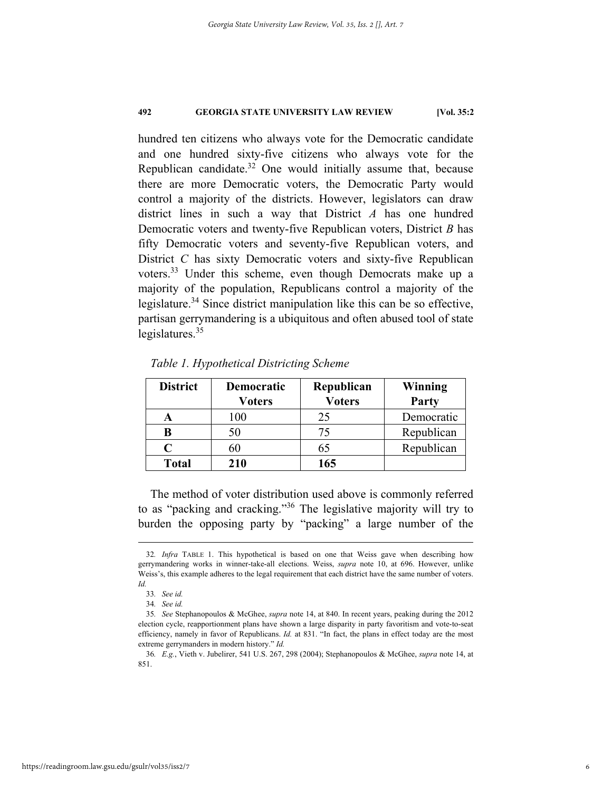hundred ten citizens who always vote for the Democratic candidate and one hundred sixty-five citizens who always vote for the Republican candidate.32 One would initially assume that, because there are more Democratic voters, the Democratic Party would control a majority of the districts. However, legislators can draw district lines in such a way that District *A* has one hundred Democratic voters and twenty-five Republican voters, District *B* has fifty Democratic voters and seventy-five Republican voters, and District *C* has sixty Democratic voters and sixty-five Republican voters.33 Under this scheme, even though Democrats make up a majority of the population, Republicans control a majority of the legislature.<sup>34</sup> Since district manipulation like this can be so effective, partisan gerrymandering is a ubiquitous and often abused tool of state legislatures.<sup>35</sup>

| <b>District</b> | Democratic    | Republican    | Winning    |
|-----------------|---------------|---------------|------------|
|                 | <b>Voters</b> | <b>Voters</b> | Party      |
|                 | 100           | 25            | Democratic |
|                 |               | 75            | Republican |
| $\mathcal C$    |               | 65            | Republican |
| <b>Total</b>    | 210           | 165           |            |

*Table 1. Hypothetical Districting Scheme* 

The method of voter distribution used above is commonly referred to as "packing and cracking."36 The legislative majority will try to burden the opposing party by "packing" a large number of the

 <sup>32</sup>*. Infra* TABLE 1. This hypothetical is based on one that Weiss gave when describing how gerrymandering works in winner-take-all elections. Weiss, *supra* note 10, at 696. However, unlike Weiss's, this example adheres to the legal requirement that each district have the same number of voters. *Id.*

<sup>33</sup>*. See id.*

<sup>34</sup>*. See id.*

<sup>35</sup>*. See* Stephanopoulos & McGhee, *supra* note 14, at 840. In recent years, peaking during the 2012 election cycle, reapportionment plans have shown a large disparity in party favoritism and vote-to-seat efficiency, namely in favor of Republicans. *Id.* at 831. "In fact, the plans in effect today are the most extreme gerrymanders in modern history." *Id.*

<sup>36</sup>*. E.g.*, Vieth v. Jubelirer, 541 U.S. 267, 298 (2004); Stephanopoulos & McGhee, *supra* note 14, at 851.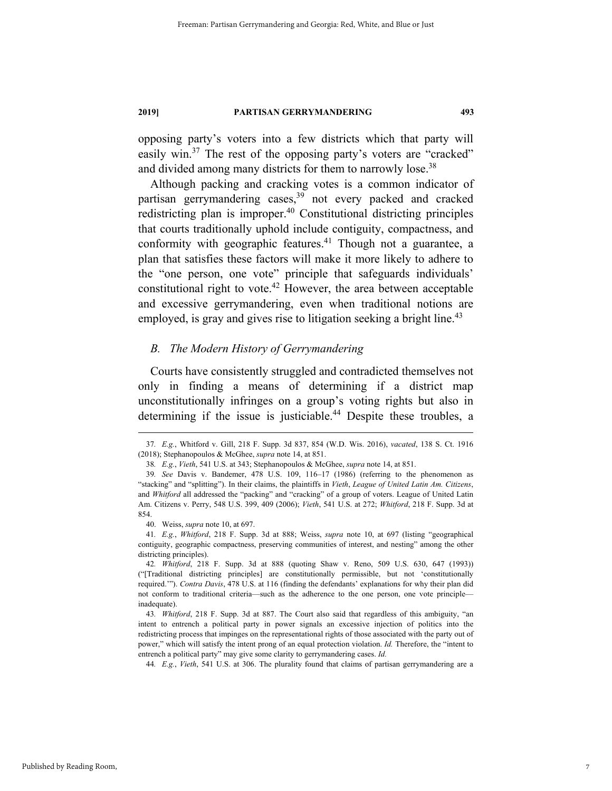opposing party's voters into a few districts which that party will easily win.<sup>37</sup> The rest of the opposing party's voters are "cracked" and divided among many districts for them to narrowly lose.<sup>38</sup>

Although packing and cracking votes is a common indicator of partisan gerrymandering cases,39 not every packed and cracked redistricting plan is improper.<sup>40</sup> Constitutional districting principles that courts traditionally uphold include contiguity, compactness, and conformity with geographic features. $41$  Though not a guarantee, a plan that satisfies these factors will make it more likely to adhere to the "one person, one vote" principle that safeguards individuals' constitutional right to vote.<sup>42</sup> However, the area between acceptable and excessive gerrymandering, even when traditional notions are employed, is gray and gives rise to litigation seeking a bright line.<sup>43</sup>

#### *B. The Modern History of Gerrymandering*

Courts have consistently struggled and contradicted themselves not only in finding a means of determining if a district map unconstitutionally infringes on a group's voting rights but also in determining if the issue is justiciable.<sup>44</sup> Despite these troubles, a

 <sup>37</sup>*. E.g.*, Whitford v. Gill, 218 F. Supp. 3d 837, 854 (W.D. Wis. 2016), *vacated*, 138 S. Ct. 1916 (2018); Stephanopoulos & McGhee, *supra* note 14, at 851.

<sup>38</sup>*. E.g.*, *Vieth*, 541 U.S. at 343; Stephanopoulos & McGhee, *supra* note 14, at 851.

<sup>39</sup>*. See* Davis v. Bandemer, 478 U.S. 109, 116–17 (1986) (referring to the phenomenon as "stacking" and "splitting"). In their claims, the plaintiffs in *Vieth*, *League of United Latin Am. Citizens*, and *Whitford* all addressed the "packing" and "cracking" of a group of voters. League of United Latin Am. Citizens v. Perry, 548 U.S. 399, 409 (2006); *Vieth*, 541 U.S. at 272; *Whitford*, 218 F. Supp. 3d at 854.

 <sup>40.</sup> Weiss, *supra* note 10, at 697.

<sup>41</sup>*. E.g.*, *Whitford*, 218 F. Supp. 3d at 888; Weiss, *supra* note 10, at 697 (listing "geographical contiguity, geographic compactness, preserving communities of interest, and nesting" among the other districting principles).

<sup>42</sup>*. Whitford*, 218 F. Supp. 3d at 888 (quoting Shaw v. Reno, 509 U.S. 630, 647 (1993)) ("[Traditional districting principles] are constitutionally permissible, but not 'constitutionally required.'"). *Contra Davis*, 478 U.S. at 116 (finding the defendants' explanations for why their plan did not conform to traditional criteria—such as the adherence to the one person, one vote principle inadequate).

<sup>43</sup>*. Whitford*, 218 F. Supp. 3d at 887. The Court also said that regardless of this ambiguity, "an intent to entrench a political party in power signals an excessive injection of politics into the redistricting process that impinges on the representational rights of those associated with the party out of power," which will satisfy the intent prong of an equal protection violation. *Id.* Therefore, the "intent to entrench a political party" may give some clarity to gerrymandering cases. *Id.*

<sup>44</sup>*. E.g.*, *Vieth*, 541 U.S. at 306. The plurality found that claims of partisan gerrymandering are a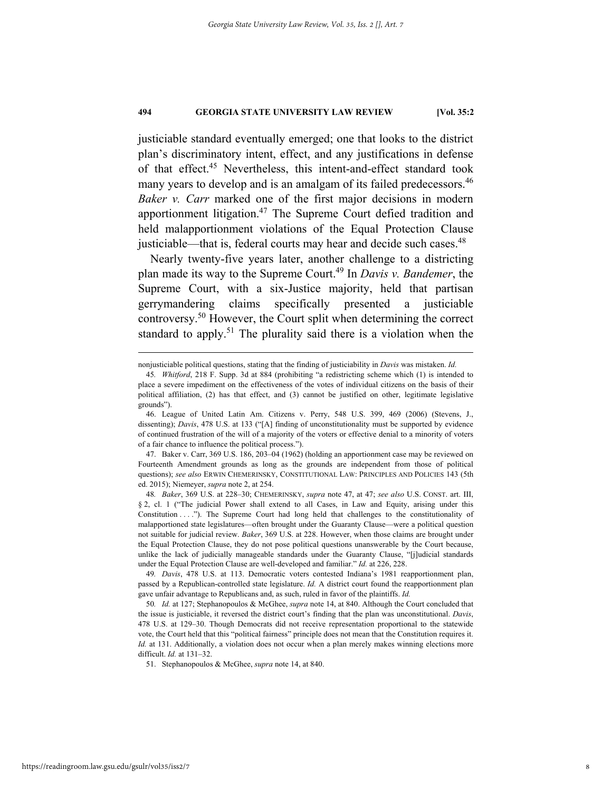justiciable standard eventually emerged; one that looks to the district plan's discriminatory intent, effect, and any justifications in defense of that effect.<sup>45</sup> Nevertheless, this intent-and-effect standard took many years to develop and is an amalgam of its failed predecessors.<sup>46</sup> *Baker v. Carr* marked one of the first major decisions in modern apportionment litigation.<sup>47</sup> The Supreme Court defied tradition and held malapportionment violations of the Equal Protection Clause justiciable—that is, federal courts may hear and decide such cases.<sup>48</sup>

Nearly twenty-five years later, another challenge to a districting plan made its way to the Supreme Court.49 In *Davis v. Bandemer*, the Supreme Court, with a six-Justice majority, held that partisan gerrymandering claims specifically presented a justiciable controversy.50 However, the Court split when determining the correct standard to apply.<sup>51</sup> The plurality said there is a violation when the

nonjusticiable political questions, stating that the finding of justiciability in *Davis* was mistaken. *Id.*

<sup>45</sup>*. Whitford*, 218 F. Supp. 3d at 884 (prohibiting "a redistricting scheme which (1) is intended to place a severe impediment on the effectiveness of the votes of individual citizens on the basis of their political affiliation, (2) has that effect, and (3) cannot be justified on other, legitimate legislative grounds").

 <sup>46.</sup> League of United Latin Am. Citizens v. Perry, 548 U.S. 399, 469 (2006) (Stevens, J., dissenting); *Davis*, 478 U.S. at 133 ("[A] finding of unconstitutionality must be supported by evidence of continued frustration of the will of a majority of the voters or effective denial to a minority of voters of a fair chance to influence the political process.").

 <sup>47.</sup> Baker v. Carr, 369 U.S. 186, 203–04 (1962) (holding an apportionment case may be reviewed on Fourteenth Amendment grounds as long as the grounds are independent from those of political questions); *see also* ERWIN CHEMERINSKY, CONSTITUTIONAL LAW: PRINCIPLES AND POLICIES 143 (5th ed. 2015); Niemeyer, *supra* note 2, at 254.

<sup>48</sup>*. Baker*, 369 U.S. at 228–30; CHEMERINSKY, *supra* note 47, at 47; *see also* U.S. CONST. art. III, § 2, cl. 1 ("The judicial Power shall extend to all Cases, in Law and Equity, arising under this Constitution . . . ."). The Supreme Court had long held that challenges to the constitutionality of malapportioned state legislatures—often brought under the Guaranty Clause—were a political question not suitable for judicial review. *Baker*, 369 U.S. at 228. However, when those claims are brought under the Equal Protection Clause, they do not pose political questions unanswerable by the Court because, unlike the lack of judicially manageable standards under the Guaranty Clause, "[j]udicial standards under the Equal Protection Clause are well-developed and familiar." *Id.* at 226, 228.

<sup>49</sup>*. Davis*, 478 U.S. at 113. Democratic voters contested Indiana's 1981 reapportionment plan, passed by a Republican-controlled state legislature. *Id.* A district court found the reapportionment plan gave unfair advantage to Republicans and, as such, ruled in favor of the plaintiffs. *Id.*

<sup>50</sup>*. Id.* at 127; Stephanopoulos & McGhee, *supra* note 14, at 840. Although the Court concluded that the issue is justiciable, it reversed the district court's finding that the plan was unconstitutional. *Davis*, 478 U.S. at 129–30. Though Democrats did not receive representation proportional to the statewide vote, the Court held that this "political fairness" principle does not mean that the Constitution requires it. *Id.* at 131. Additionally, a violation does not occur when a plan merely makes winning elections more difficult. *Id.* at 131–32.

 <sup>51.</sup> Stephanopoulos & McGhee, *supra* note 14, at 840.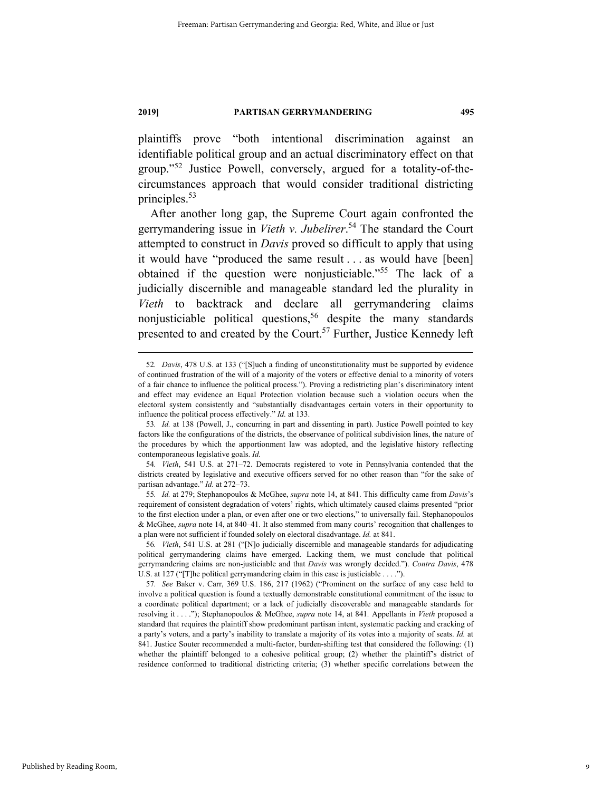plaintiffs prove "both intentional discrimination against an identifiable political group and an actual discriminatory effect on that group."52 Justice Powell, conversely, argued for a totality-of-thecircumstances approach that would consider traditional districting principles.53

After another long gap, the Supreme Court again confronted the gerrymandering issue in *Vieth v. Jubelirer*. 54 The standard the Court attempted to construct in *Davis* proved so difficult to apply that using it would have "produced the same result . . . as would have [been] obtained if the question were nonjusticiable."55 The lack of a judicially discernible and manageable standard led the plurality in *Vieth* to backtrack and declare all gerrymandering claims nonjusticiable political questions,<sup>56</sup> despite the many standards presented to and created by the Court.<sup>57</sup> Further, Justice Kennedy left

 <sup>52</sup>*. Davis*, 478 U.S. at 133 ("[S]uch a finding of unconstitutionality must be supported by evidence of continued frustration of the will of a majority of the voters or effective denial to a minority of voters of a fair chance to influence the political process."). Proving a redistricting plan's discriminatory intent and effect may evidence an Equal Protection violation because such a violation occurs when the electoral system consistently and "substantially disadvantages certain voters in their opportunity to influence the political process effectively." *Id.* at 133.

<sup>53</sup>*. Id.* at 138 (Powell, J., concurring in part and dissenting in part). Justice Powell pointed to key factors like the configurations of the districts, the observance of political subdivision lines, the nature of the procedures by which the apportionment law was adopted, and the legislative history reflecting contemporaneous legislative goals. *Id.*

<sup>54</sup>*. Vieth*, 541 U.S. at 271–72. Democrats registered to vote in Pennsylvania contended that the districts created by legislative and executive officers served for no other reason than "for the sake of partisan advantage." *Id.* at 272–73.

<sup>55</sup>*. Id.* at 279; Stephanopoulos & McGhee, *supra* note 14, at 841. This difficulty came from *Davis*'s requirement of consistent degradation of voters' rights, which ultimately caused claims presented "prior to the first election under a plan, or even after one or two elections," to universally fail. Stephanopoulos & McGhee, *supra* note 14, at 840–41. It also stemmed from many courts' recognition that challenges to a plan were not sufficient if founded solely on electoral disadvantage. *Id.* at 841.

<sup>56</sup>*. Vieth*, 541 U.S. at 281 ("[N]o judicially discernible and manageable standards for adjudicating political gerrymandering claims have emerged. Lacking them, we must conclude that political gerrymandering claims are non-justiciable and that *Davis* was wrongly decided."). *Contra Davis*, 478 U.S. at 127 ("[T]he political gerrymandering claim in this case is justiciable . . . .").

<sup>57</sup>*. See* Baker v. Carr, 369 U.S. 186, 217 (1962) ("Prominent on the surface of any case held to involve a political question is found a textually demonstrable constitutional commitment of the issue to a coordinate political department; or a lack of judicially discoverable and manageable standards for resolving it . . . ."); Stephanopoulos & McGhee, *supra* note 14, at 841*.* Appellants in *Vieth* proposed a standard that requires the plaintiff show predominant partisan intent, systematic packing and cracking of a party's voters, and a party's inability to translate a majority of its votes into a majority of seats. *Id.* at 841. Justice Souter recommended a multi-factor, burden-shifting test that considered the following: (1) whether the plaintiff belonged to a cohesive political group; (2) whether the plaintiff's district of residence conformed to traditional districting criteria; (3) whether specific correlations between the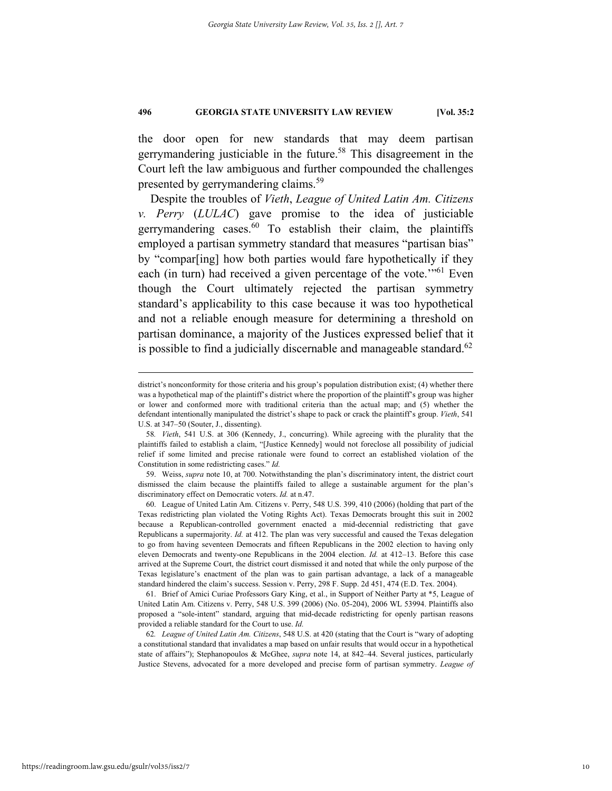the door open for new standards that may deem partisan gerrymandering justiciable in the future.<sup>58</sup> This disagreement in the Court left the law ambiguous and further compounded the challenges presented by gerrymandering claims.<sup>59</sup>

Despite the troubles of *Vieth*, *League of United Latin Am. Citizens v. Perry* (*LULAC*) gave promise to the idea of justiciable gerrymandering cases. $60$  To establish their claim, the plaintiffs employed a partisan symmetry standard that measures "partisan bias" by "compar[ing] how both parties would fare hypothetically if they each (in turn) had received a given percentage of the vote."<sup>61</sup> Even though the Court ultimately rejected the partisan symmetry standard's applicability to this case because it was too hypothetical and not a reliable enough measure for determining a threshold on partisan dominance, a majority of the Justices expressed belief that it is possible to find a judicially discernable and manageable standard. $62$ 

district's nonconformity for those criteria and his group's population distribution exist; (4) whether there was a hypothetical map of the plaintiff's district where the proportion of the plaintiff's group was higher or lower and conformed more with traditional criteria than the actual map; and (5) whether the defendant intentionally manipulated the district's shape to pack or crack the plaintiff's group. *Vieth*, 541 U.S. at 347–50 (Souter, J., dissenting).

<sup>58</sup>*. Vieth*, 541 U.S. at 306 (Kennedy, J., concurring). While agreeing with the plurality that the plaintiffs failed to establish a claim, "[Justice Kennedy] would not foreclose all possibility of judicial relief if some limited and precise rationale were found to correct an established violation of the Constitution in some redistricting cases." *Id.*

 <sup>59.</sup> Weiss, *supra* note 10, at 700. Notwithstanding the plan's discriminatory intent, the district court dismissed the claim because the plaintiffs failed to allege a sustainable argument for the plan's discriminatory effect on Democratic voters. *Id.* at n.47.

 <sup>60.</sup> League of United Latin Am. Citizens v. Perry, 548 U.S. 399, 410 (2006) (holding that part of the Texas redistricting plan violated the Voting Rights Act). Texas Democrats brought this suit in 2002 because a Republican-controlled government enacted a mid-decennial redistricting that gave Republicans a supermajority. *Id.* at 412. The plan was very successful and caused the Texas delegation to go from having seventeen Democrats and fifteen Republicans in the 2002 election to having only eleven Democrats and twenty-one Republicans in the 2004 election. *Id.* at 412–13. Before this case arrived at the Supreme Court, the district court dismissed it and noted that while the only purpose of the Texas legislature's enactment of the plan was to gain partisan advantage, a lack of a manageable standard hindered the claim's success. Session v. Perry, 298 F. Supp. 2d 451, 474 (E.D. Tex. 2004).

 <sup>61.</sup> Brief of Amici Curiae Professors Gary King, et al., in Support of Neither Party at \*5, League of United Latin Am. Citizens v. Perry, 548 U.S. 399 (2006) (No. 05-204), 2006 WL 53994. Plaintiffs also proposed a "sole-intent" standard, arguing that mid-decade redistricting for openly partisan reasons provided a reliable standard for the Court to use. *Id.*

<sup>62</sup>*. League of United Latin Am. Citizens*, 548 U.S. at 420 (stating that the Court is "wary of adopting a constitutional standard that invalidates a map based on unfair results that would occur in a hypothetical state of affairs"); Stephanopoulos & McGhee, *supra* note 14, at 842–44. Several justices, particularly Justice Stevens, advocated for a more developed and precise form of partisan symmetry. *League of*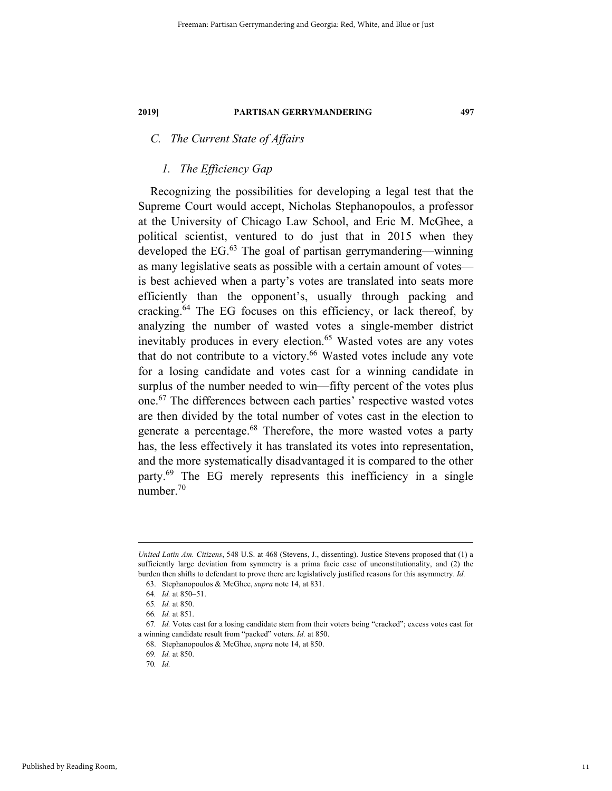### *C. The Current State of Affairs*

#### *1. The Efficiency Gap*

Recognizing the possibilities for developing a legal test that the Supreme Court would accept, Nicholas Stephanopoulos, a professor at the University of Chicago Law School, and Eric M. McGhee, a political scientist, ventured to do just that in 2015 when they developed the EG. $^{63}$  The goal of partisan gerrymandering—winning as many legislative seats as possible with a certain amount of votes is best achieved when a party's votes are translated into seats more efficiently than the opponent's, usually through packing and cracking.64 The EG focuses on this efficiency, or lack thereof, by analyzing the number of wasted votes a single-member district inevitably produces in every election.<sup>65</sup> Wasted votes are any votes that do not contribute to a victory.<sup>66</sup> Wasted votes include any vote for a losing candidate and votes cast for a winning candidate in surplus of the number needed to win—fifty percent of the votes plus one.67 The differences between each parties' respective wasted votes are then divided by the total number of votes cast in the election to generate a percentage.<sup>68</sup> Therefore, the more wasted votes a party has, the less effectively it has translated its votes into representation, and the more systematically disadvantaged it is compared to the other party.<sup>69</sup> The EG merely represents this inefficiency in a single number.70

1

*United Latin Am. Citizens*, 548 U.S. at 468 (Stevens, J., dissenting). Justice Stevens proposed that (1) a sufficiently large deviation from symmetry is a prima facie case of unconstitutionality, and (2) the burden then shifts to defendant to prove there are legislatively justified reasons for this asymmetry. *Id.*

 <sup>63.</sup> Stephanopoulos & McGhee, *supra* note 14, at 831.

<sup>64</sup>*. Id.* at 850–51.

<sup>65</sup>*. Id.* at 850.

<sup>66</sup>*. Id.* at 851.

<sup>67</sup>*. Id.* Votes cast for a losing candidate stem from their voters being "cracked"; excess votes cast for a winning candidate result from "packed" voters. *Id.* at 850.

 <sup>68.</sup> Stephanopoulos & McGhee, *supra* note 14, at 850.

<sup>69</sup>*. Id.* at 850.

<sup>70</sup>*. Id.*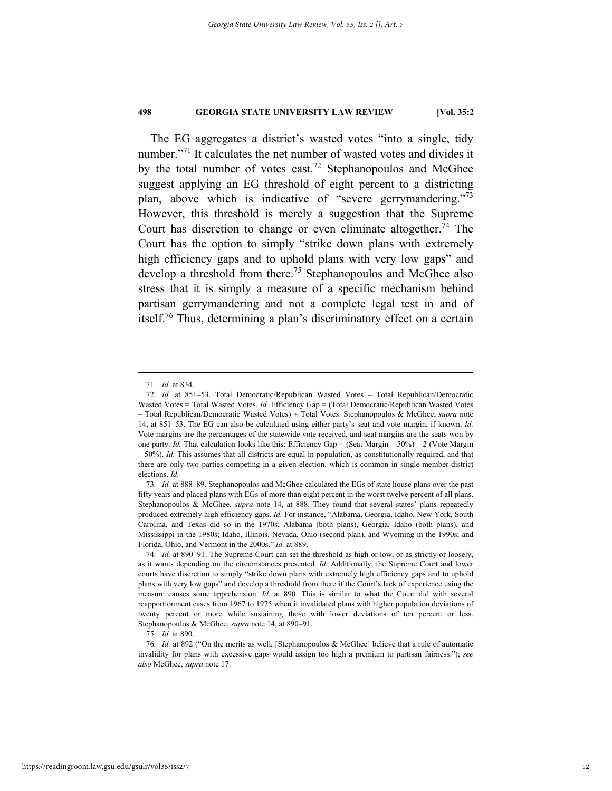The EG aggregates a district's wasted votes "into a single, tidy number."<sup>71</sup> It calculates the net number of wasted votes and divides it by the total number of votes cast.<sup>72</sup> Stephanopoulos and McGhee suggest applying an EG threshold of eight percent to a districting plan, above which is indicative of "severe gerrymandering."<sup>73</sup> However, this threshold is merely a suggestion that the Supreme Court has discretion to change or even eliminate altogether.<sup>74</sup> The Court has the option to simply "strike down plans with extremely high efficiency gaps and to uphold plans with very low gaps" and develop a threshold from there.<sup>75</sup> Stephanopoulos and McGhee also stress that it is simply a measure of a specific mechanism behind partisan gerrymandering and not a complete legal test in and of itself.76 Thus, determining a plan's discriminatory effect on a certain

 <sup>71</sup>*. Id.* at 834.

<sup>72</sup>*. Id.* at 851–53. Total Democratic/Republican Wasted Votes – Total Republican/Democratic Wasted Votes = Total Wasted Votes. *Id.* Efficiency Gap = (Total Democratic/Republican Wasted Votes – Total Republican/Democratic Wasted Votes) Total Votes. Stephanopoulos & McGhee, *supra* note 14, at 851–53. The EG can also be calculated using either party's seat and vote margin, if known. *Id.*  Vote margins are the percentages of the statewide vote received, and seat margins are the seats won by one party. *Id.* That calculation looks like this: Efficiency Gap = (Seat Margin – 50%) – 2 (Vote Margin – 50%). *Id.* This assumes that all districts are equal in population, as constitutionally required, and that there are only two parties competing in a given election, which is common in single-member-district elections. *Id.*

<sup>73</sup>*. Id.* at 888–89. Stephanopoulos and McGhee calculated the EGs of state house plans over the past fifty years and placed plans with EGs of more than eight percent in the worst twelve percent of all plans. Stephanopoulos & McGhee, *supra* note 14, at 888. They found that several states' plans repeatedly produced extremely high efficiency gaps. *Id.* For instance, "Alabama, Georgia, Idaho, New York, South Carolina, and Texas did so in the 1970s; Alabama (both plans), Georgia, Idaho (both plans), and Mississippi in the 1980s; Idaho, Illinois, Nevada, Ohio (second plan), and Wyoming in the 1990s; and Florida, Ohio, and Vermont in the 2000s." *Id.* at 889.

<sup>74</sup>*. Id.* at 890–91. The Supreme Court can set the threshold as high or low, or as strictly or loosely, as it wants depending on the circumstances presented. *Id.* Additionally, the Supreme Court and lower courts have discretion to simply "strike down plans with extremely high efficiency gaps and to uphold plans with very low gaps" and develop a threshold from there if the Court's lack of experience using the measure causes some apprehension. *Id.* at 890. This is similar to what the Court did with several reapportionment cases from 1967 to 1975 when it invalidated plans with higher population deviations of twenty percent or more while sustaining those with lower deviations of ten percent or less. Stephanopoulos & McGhee, *supra* note 14, at 890–91.

<sup>75</sup>*. Id.* at 890.

<sup>76</sup>*. Id.* at 892 ("On the merits as well, [Stephanopoulos & McGhee] believe that a rule of automatic invalidity for plans with excessive gaps would assign too high a premium to partisan fairness."); *see also* McGhee, *supra* note 17.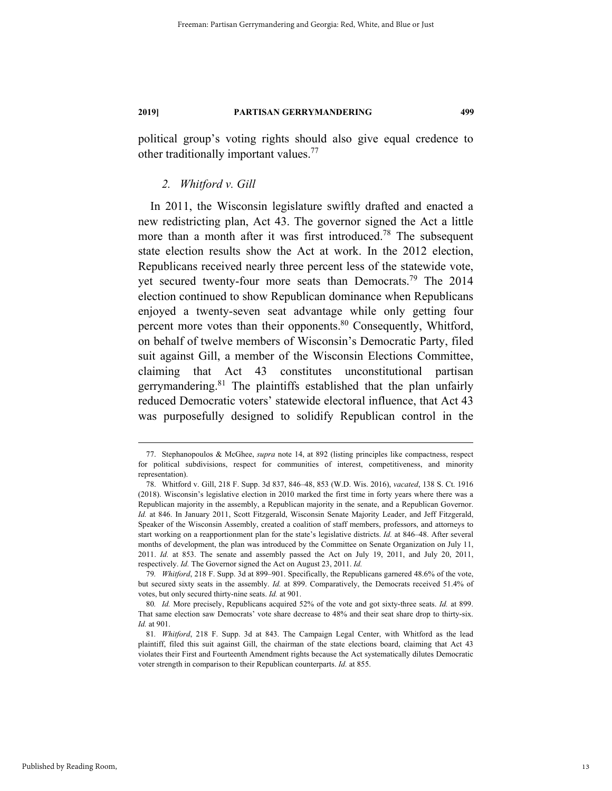political group's voting rights should also give equal credence to other traditionally important values.77

#### *2. Whitford v. Gill*

In 2011, the Wisconsin legislature swiftly drafted and enacted a new redistricting plan, Act 43. The governor signed the Act a little more than a month after it was first introduced.<sup>78</sup> The subsequent state election results show the Act at work. In the 2012 election, Republicans received nearly three percent less of the statewide vote, yet secured twenty-four more seats than Democrats.<sup>79</sup> The 2014 election continued to show Republican dominance when Republicans enjoyed a twenty-seven seat advantage while only getting four percent more votes than their opponents.<sup>80</sup> Consequently, Whitford, on behalf of twelve members of Wisconsin's Democratic Party, filed suit against Gill, a member of the Wisconsin Elections Committee, claiming that Act 43 constitutes unconstitutional partisan gerrymandering.<sup>81</sup> The plaintiffs established that the plan unfairly reduced Democratic voters' statewide electoral influence, that Act 43 was purposefully designed to solidify Republican control in the

 <sup>77.</sup> Stephanopoulos & McGhee, *supra* note 14, at 892 (listing principles like compactness, respect for political subdivisions, respect for communities of interest, competitiveness, and minority representation).

 <sup>78.</sup> Whitford v. Gill, 218 F. Supp. 3d 837, 846–48, 853 (W.D. Wis. 2016), *vacated*, 138 S. Ct. 1916 (2018). Wisconsin's legislative election in 2010 marked the first time in forty years where there was a Republican majority in the assembly, a Republican majority in the senate, and a Republican Governor. *Id.* at 846. In January 2011, Scott Fitzgerald, Wisconsin Senate Majority Leader, and Jeff Fitzgerald, Speaker of the Wisconsin Assembly, created a coalition of staff members, professors, and attorneys to start working on a reapportionment plan for the state's legislative districts. *Id.* at 846–48. After several months of development, the plan was introduced by the Committee on Senate Organization on July 11, 2011. *Id.* at 853. The senate and assembly passed the Act on July 19, 2011, and July 20, 2011, respectively. *Id.* The Governor signed the Act on August 23, 2011. *Id.*

<sup>79</sup>*. Whitford*, 218 F. Supp. 3d at 899–901. Specifically, the Republicans garnered 48.6% of the vote, but secured sixty seats in the assembly. *Id.* at 899. Comparatively, the Democrats received 51.4% of votes, but only secured thirty-nine seats. *Id.* at 901.

<sup>80</sup>*. Id.* More precisely, Republicans acquired 52% of the vote and got sixty-three seats. *Id.* at 899. That same election saw Democrats' vote share decrease to 48% and their seat share drop to thirty-six. *Id.* at 901.

<sup>81</sup>*. Whitford*, 218 F. Supp. 3d at 843. The Campaign Legal Center, with Whitford as the lead plaintiff, filed this suit against Gill, the chairman of the state elections board, claiming that Act 43 violates their First and Fourteenth Amendment rights because the Act systematically dilutes Democratic voter strength in comparison to their Republican counterparts. *Id.* at 855.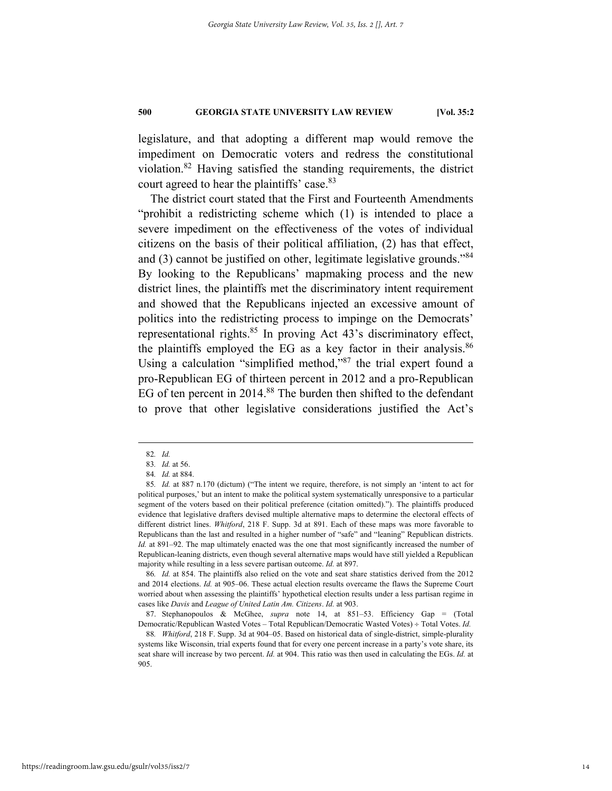legislature, and that adopting a different map would remove the impediment on Democratic voters and redress the constitutional violation.82 Having satisfied the standing requirements, the district court agreed to hear the plaintiffs' case.<sup>83</sup>

The district court stated that the First and Fourteenth Amendments "prohibit a redistricting scheme which (1) is intended to place a severe impediment on the effectiveness of the votes of individual citizens on the basis of their political affiliation, (2) has that effect, and (3) cannot be justified on other, legitimate legislative grounds."<sup>84</sup> By looking to the Republicans' mapmaking process and the new district lines, the plaintiffs met the discriminatory intent requirement and showed that the Republicans injected an excessive amount of politics into the redistricting process to impinge on the Democrats' representational rights.<sup>85</sup> In proving Act 43's discriminatory effect, the plaintiffs employed the EG as a key factor in their analysis. $86$ Using a calculation "simplified method,"87 the trial expert found a pro-Republican EG of thirteen percent in 2012 and a pro-Republican EG of ten percent in 2014.<sup>88</sup> The burden then shifted to the defendant to prove that other legislative considerations justified the Act's

86*. Id.* at 854. The plaintiffs also relied on the vote and seat share statistics derived from the 2012 and 2014 elections. *Id.* at 905–06. These actual election results overcame the flaws the Supreme Court worried about when assessing the plaintiffs' hypothetical election results under a less partisan regime in cases like *Davis* and *League of United Latin Am. Citizens*. *Id.* at 903.

 87. Stephanopoulos & McGhee, *supra* note 14, at 851–53. Efficiency Gap = (Total Democratic/Republican Wasted Votes - Total Republican/Democratic Wasted Votes) ÷ Total Votes. *Id.* 

88*. Whitford*, 218 F. Supp. 3d at 904–05. Based on historical data of single-district, simple-plurality systems like Wisconsin, trial experts found that for every one percent increase in a party's vote share, its seat share will increase by two percent. *Id.* at 904. This ratio was then used in calculating the EGs. *Id.* at 905.

 <sup>82</sup>*. Id.*

<sup>83</sup>*. Id.* at 56.

<sup>84</sup>*. Id.* at 884.

<sup>85</sup>*. Id.* at 887 n.170 (dictum) ("The intent we require, therefore, is not simply an 'intent to act for political purposes,' but an intent to make the political system systematically unresponsive to a particular segment of the voters based on their political preference (citation omitted)."). The plaintiffs produced evidence that legislative drafters devised multiple alternative maps to determine the electoral effects of different district lines. *Whitford*, 218 F. Supp. 3d at 891. Each of these maps was more favorable to Republicans than the last and resulted in a higher number of "safe" and "leaning" Republican districts. *Id.* at 891–92. The map ultimately enacted was the one that most significantly increased the number of Republican-leaning districts, even though several alternative maps would have still yielded a Republican majority while resulting in a less severe partisan outcome. *Id.* at 897.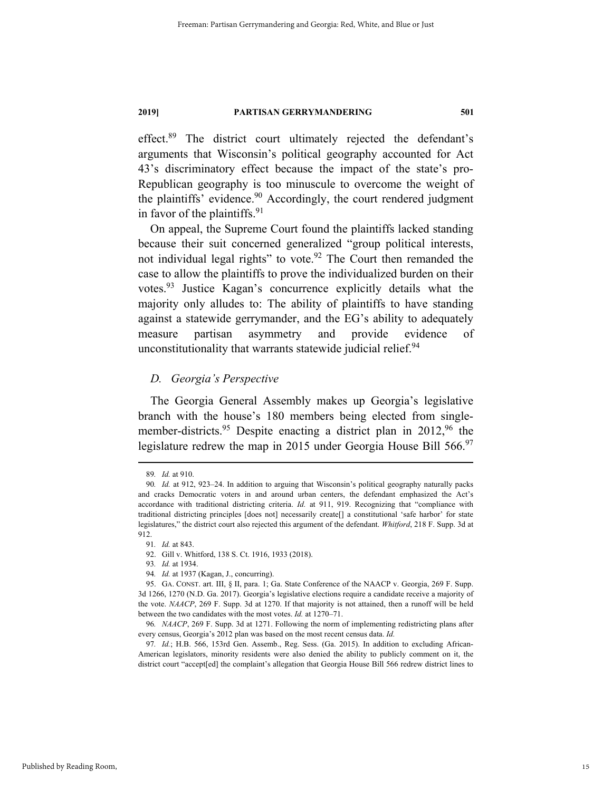effect.89 The district court ultimately rejected the defendant's arguments that Wisconsin's political geography accounted for Act 43's discriminatory effect because the impact of the state's pro-Republican geography is too minuscule to overcome the weight of the plaintiffs' evidence. $90$  Accordingly, the court rendered judgment in favor of the plaintiffs. $91$ 

On appeal, the Supreme Court found the plaintiffs lacked standing because their suit concerned generalized "group political interests, not individual legal rights" to vote.<sup>92</sup> The Court then remanded the case to allow the plaintiffs to prove the individualized burden on their votes.93 Justice Kagan's concurrence explicitly details what the majority only alludes to: The ability of plaintiffs to have standing against a statewide gerrymander, and the EG's ability to adequately measure partisan asymmetry and provide evidence of unconstitutionality that warrants statewide judicial relief. $94$ 

#### *D. Georgia's Perspective*

The Georgia General Assembly makes up Georgia's legislative branch with the house's 180 members being elected from singlemember-districts.<sup>95</sup> Despite enacting a district plan in 2012,<sup>96</sup> the legislature redrew the map in 2015 under Georgia House Bill 566.<sup>97</sup>

 <sup>89</sup>*. Id.* at 910.

<sup>90</sup>*. Id.* at 912, 923–24. In addition to arguing that Wisconsin's political geography naturally packs and cracks Democratic voters in and around urban centers, the defendant emphasized the Act's accordance with traditional districting criteria. *Id.* at 911, 919. Recognizing that "compliance with traditional districting principles [does not] necessarily create[] a constitutional 'safe harbor' for state legislatures," the district court also rejected this argument of the defendant. *Whitford*, 218 F. Supp. 3d at 912.

<sup>91</sup>*. Id.* at 843.

 <sup>92.</sup> Gill v. Whitford, 138 S. Ct. 1916, 1933 (2018).

<sup>93</sup>*. Id.* at 1934.

<sup>94</sup>*. Id.* at 1937 (Kagan, J., concurring).

 <sup>95.</sup> GA. CONST. art. III, § II, para. 1; Ga. State Conference of the NAACP v. Georgia, 269 F. Supp. 3d 1266, 1270 (N.D. Ga. 2017). Georgia's legislative elections require a candidate receive a majority of the vote. *NAACP*, 269 F. Supp. 3d at 1270. If that majority is not attained, then a runoff will be held between the two candidates with the most votes. *Id.* at 1270–71.

<sup>96</sup>*. NAACP*, 269 F. Supp. 3d at 1271. Following the norm of implementing redistricting plans after every census, Georgia's 2012 plan was based on the most recent census data. *Id.*

<sup>97</sup>*. Id.*; H.B. 566, 153rd Gen. Assemb., Reg. Sess. (Ga. 2015). In addition to excluding African-American legislators, minority residents were also denied the ability to publicly comment on it, the district court "accept[ed] the complaint's allegation that Georgia House Bill 566 redrew district lines to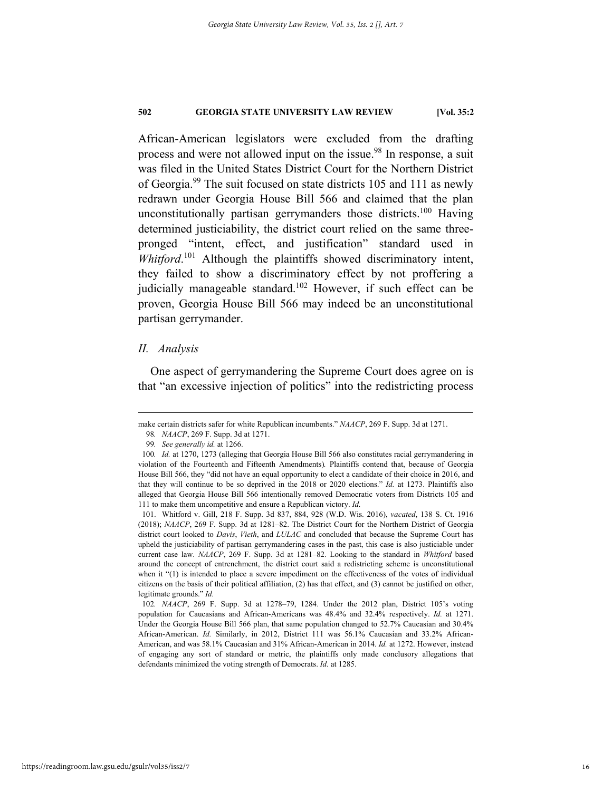African-American legislators were excluded from the drafting process and were not allowed input on the issue.<sup>98</sup> In response, a suit was filed in the United States District Court for the Northern District of Georgia.99 The suit focused on state districts 105 and 111 as newly redrawn under Georgia House Bill 566 and claimed that the plan unconstitutionally partisan gerrymanders those districts.<sup>100</sup> Having determined justiciability, the district court relied on the same threepronged "intent, effect, and justification" standard used in *Whitford*. 101 Although the plaintiffs showed discriminatory intent, they failed to show a discriminatory effect by not proffering a judicially manageable standard.<sup>102</sup> However, if such effect can be proven, Georgia House Bill 566 may indeed be an unconstitutional partisan gerrymander.

#### *II. Analysis*

One aspect of gerrymandering the Supreme Court does agree on is that "an excessive injection of politics" into the redistricting process

make certain districts safer for white Republican incumbents." *NAACP*, 269 F. Supp. 3d at 1271.

<sup>98</sup>*. NAACP*, 269 F. Supp. 3d at 1271.

<sup>99</sup>*. See generally id.* at 1266.

<sup>100</sup>*. Id.* at 1270, 1273 (alleging that Georgia House Bill 566 also constitutes racial gerrymandering in violation of the Fourteenth and Fifteenth Amendments)*.* Plaintiffs contend that, because of Georgia House Bill 566, they "did not have an equal opportunity to elect a candidate of their choice in 2016, and that they will continue to be so deprived in the 2018 or 2020 elections." *Id.* at 1273. Plaintiffs also alleged that Georgia House Bill 566 intentionally removed Democratic voters from Districts 105 and 111 to make them uncompetitive and ensure a Republican victory. *Id.*

 <sup>101.</sup> Whitford v. Gill, 218 F. Supp. 3d 837, 884, 928 (W.D. Wis. 2016), *vacated*, 138 S. Ct. 1916 (2018); *NAACP*, 269 F. Supp. 3d at 1281–82. The District Court for the Northern District of Georgia district court looked to *Davis*, *Vieth*, and *LULAC* and concluded that because the Supreme Court has upheld the justiciability of partisan gerrymandering cases in the past, this case is also justiciable under current case law. *NAACP*, 269 F. Supp. 3d at 1281–82. Looking to the standard in *Whitford* based around the concept of entrenchment, the district court said a redistricting scheme is unconstitutional when it "(1) is intended to place a severe impediment on the effectiveness of the votes of individual citizens on the basis of their political affiliation, (2) has that effect, and (3) cannot be justified on other, legitimate grounds." *Id.*

<sup>102</sup>*. NAACP*, 269 F. Supp. 3d at 1278–79, 1284. Under the 2012 plan, District 105's voting population for Caucasians and African-Americans was 48.4% and 32.4% respectively. *Id.* at 1271. Under the Georgia House Bill 566 plan, that same population changed to 52.7% Caucasian and 30.4% African-American. *Id.* Similarly, in 2012, District 111 was 56.1% Caucasian and 33.2% African-American, and was 58.1% Caucasian and 31% African-American in 2014. *Id.* at 1272. However, instead of engaging any sort of standard or metric, the plaintiffs only made conclusory allegations that defendants minimized the voting strength of Democrats. *Id.* at 1285.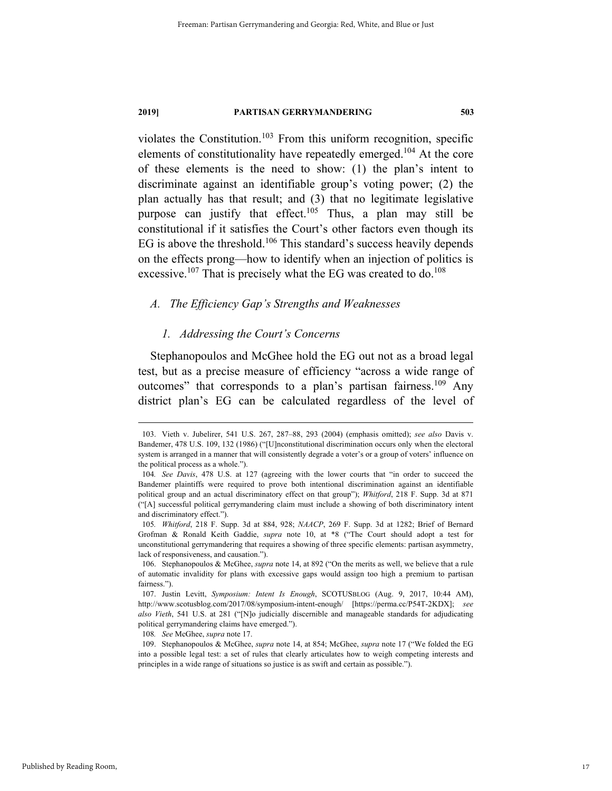violates the Constitution.<sup>103</sup> From this uniform recognition, specific elements of constitutionality have repeatedly emerged.104 At the core of these elements is the need to show: (1) the plan's intent to discriminate against an identifiable group's voting power; (2) the plan actually has that result; and (3) that no legitimate legislative purpose can justify that effect.<sup>105</sup> Thus, a plan may still be constitutional if it satisfies the Court's other factors even though its EG is above the threshold.<sup>106</sup> This standard's success heavily depends on the effects prong—how to identify when an injection of politics is excessive.<sup>107</sup> That is precisely what the EG was created to do.<sup>108</sup>

### *A. The Efficiency Gap's Strengths and Weaknesses*

#### *1. Addressing the Court's Concerns*

Stephanopoulos and McGhee hold the EG out not as a broad legal test, but as a precise measure of efficiency "across a wide range of outcomes" that corresponds to a plan's partisan fairness.<sup>109</sup> Any district plan's EG can be calculated regardless of the level of

108*. See* McGhee, *supra* note 17.

 <sup>103.</sup> Vieth v. Jubelirer, 541 U.S. 267, 287–88, 293 (2004) (emphasis omitted); *see also* Davis v. Bandemer, 478 U.S. 109, 132 (1986) ("[U]nconstitutional discrimination occurs only when the electoral system is arranged in a manner that will consistently degrade a voter's or a group of voters' influence on the political process as a whole.").

<sup>104</sup>*. See Davis*, 478 U.S. at 127 (agreeing with the lower courts that "in order to succeed the Bandemer plaintiffs were required to prove both intentional discrimination against an identifiable political group and an actual discriminatory effect on that group"); *Whitford*, 218 F. Supp. 3d at 871 ("[A] successful political gerrymandering claim must include a showing of both discriminatory intent and discriminatory effect.").

<sup>105</sup>*. Whitford*, 218 F. Supp. 3d at 884, 928; *NAACP*, 269 F. Supp. 3d at 1282; Brief of Bernard Grofman & Ronald Keith Gaddie, *supra* note 10, at \*8 ("The Court should adopt a test for unconstitutional gerrymandering that requires a showing of three specific elements: partisan asymmetry, lack of responsiveness, and causation.").

 <sup>106.</sup> Stephanopoulos & McGhee, *supra* note 14, at 892 ("On the merits as well, we believe that a rule of automatic invalidity for plans with excessive gaps would assign too high a premium to partisan fairness.").

 <sup>107.</sup> Justin Levitt, *Symposium: Intent Is Enough*, SCOTUSBLOG (Aug. 9, 2017, 10:44 AM), http://www.scotusblog.com/2017/08/symposium-intent-enough/ [https://perma.cc/P54T-2KDX]; *see also Vieth*, 541 U.S. at 281 ("[N]o judicially discernible and manageable standards for adjudicating political gerrymandering claims have emerged.").

 <sup>109.</sup> Stephanopoulos & McGhee, *supra* note 14, at 854; McGhee, *supra* note 17 ("We folded the EG into a possible legal test: a set of rules that clearly articulates how to weigh competing interests and principles in a wide range of situations so justice is as swift and certain as possible.").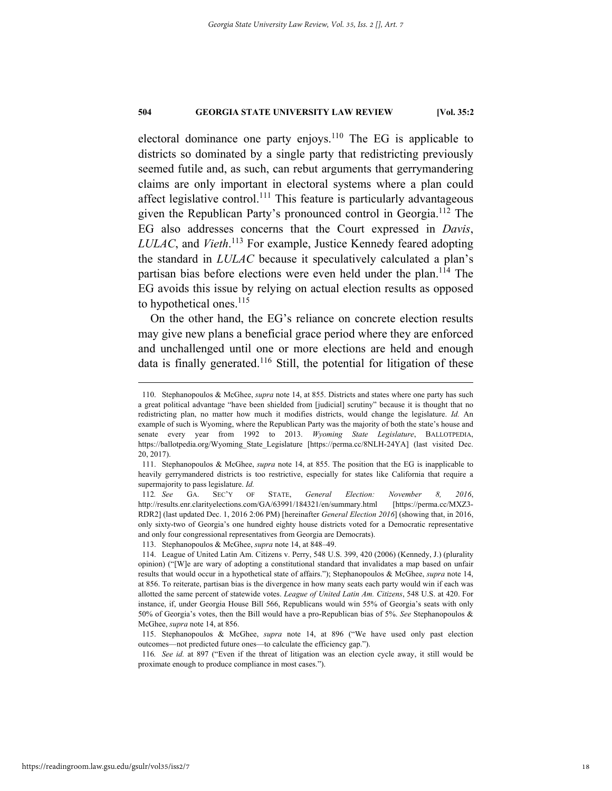electoral dominance one party enjoys.<sup>110</sup> The EG is applicable to districts so dominated by a single party that redistricting previously seemed futile and, as such, can rebut arguments that gerrymandering claims are only important in electoral systems where a plan could affect legislative control.<sup>111</sup> This feature is particularly advantageous given the Republican Party's pronounced control in Georgia.112 The EG also addresses concerns that the Court expressed in *Davis*, *LULAC*, and *Vieth*. 113 For example, Justice Kennedy feared adopting the standard in *LULAC* because it speculatively calculated a plan's partisan bias before elections were even held under the plan.<sup>114</sup> The EG avoids this issue by relying on actual election results as opposed to hypothetical ones.<sup>115</sup>

On the other hand, the EG's reliance on concrete election results may give new plans a beneficial grace period where they are enforced and unchallenged until one or more elections are held and enough data is finally generated.<sup>116</sup> Still, the potential for litigation of these

 <sup>110.</sup> Stephanopoulos & McGhee, *supra* note 14, at 855. Districts and states where one party has such a great political advantage "have been shielded from [judicial] scrutiny" because it is thought that no redistricting plan, no matter how much it modifies districts, would change the legislature. *Id.* An example of such is Wyoming, where the Republican Party was the majority of both the state's house and senate every year from 1992 to 2013. *Wyoming State Legislature*, BALLOTPEDIA, https://ballotpedia.org/Wyoming\_State\_Legislature [https://perma.cc/8NLH-24YA] (last visited Dec. 20, 2017).

 <sup>111.</sup> Stephanopoulos & McGhee, *supra* note 14, at 855. The position that the EG is inapplicable to heavily gerrymandered districts is too restrictive, especially for states like California that require a supermajority to pass legislature. *Id.*

<sup>112</sup>*. See* GA. SEC'Y OF STATE, *General Election: November 8, 2016*, http://results.enr.clarityelections.com/GA/63991/184321/en/summary.html [https://perma.cc/MXZ3- RDR2] (last updated Dec. 1, 2016 2:06 PM) [hereinafter *General Election 2016*] (showing that, in 2016, only sixty-two of Georgia's one hundred eighty house districts voted for a Democratic representative and only four congressional representatives from Georgia are Democrats).

 <sup>113.</sup> Stephanopoulos & McGhee, *supra* note 14, at 848–49.

 <sup>114.</sup> League of United Latin Am. Citizens v. Perry, 548 U.S. 399, 420 (2006) (Kennedy, J.) (plurality opinion) ("[W]e are wary of adopting a constitutional standard that invalidates a map based on unfair results that would occur in a hypothetical state of affairs."); Stephanopoulos & McGhee, *supra* note 14, at 856. To reiterate, partisan bias is the divergence in how many seats each party would win if each was allotted the same percent of statewide votes. *League of United Latin Am. Citizens*, 548 U.S. at 420. For instance, if, under Georgia House Bill 566, Republicans would win 55% of Georgia's seats with only 50% of Georgia's votes, then the Bill would have a pro-Republican bias of 5%. *See* Stephanopoulos & McGhee, *supra* note 14, at 856.

 <sup>115.</sup> Stephanopoulos & McGhee, *supra* note 14, at 896 ("We have used only past election outcomes—not predicted future ones—to calculate the efficiency gap.").

<sup>116</sup>*. See id.* at 897 ("Even if the threat of litigation was an election cycle away, it still would be proximate enough to produce compliance in most cases.").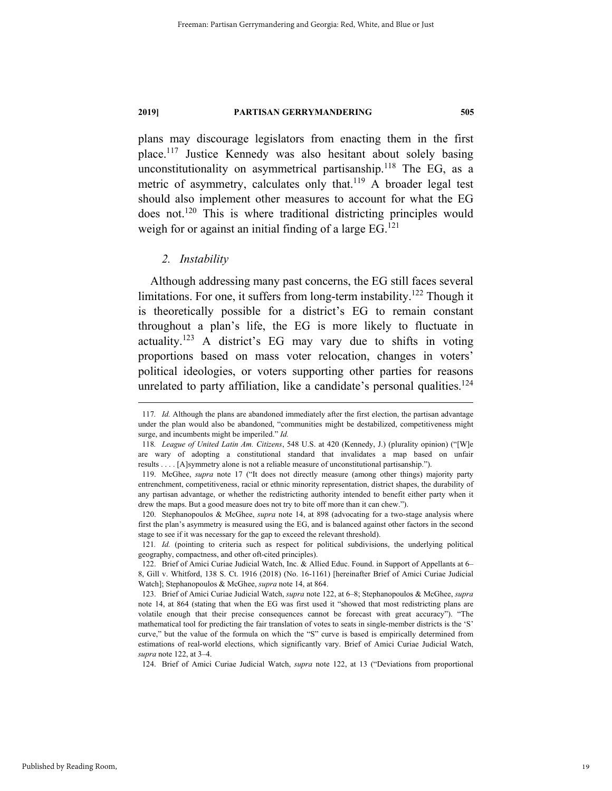plans may discourage legislators from enacting them in the first place.117 Justice Kennedy was also hesitant about solely basing unconstitutionality on asymmetrical partisanship.<sup>118</sup> The EG, as a metric of asymmetry, calculates only that.<sup>119</sup> A broader legal test should also implement other measures to account for what the EG does not.120 This is where traditional districting principles would weigh for or against an initial finding of a large  $EG<sup>121</sup>$ 

#### *2. Instability*

Although addressing many past concerns, the EG still faces several limitations. For one, it suffers from long-term instability.<sup>122</sup> Though it is theoretically possible for a district's EG to remain constant throughout a plan's life, the EG is more likely to fluctuate in actuality.<sup>123</sup> A district's EG may vary due to shifts in voting proportions based on mass voter relocation, changes in voters' political ideologies, or voters supporting other parties for reasons unrelated to party affiliation, like a candidate's personal qualities.<sup>124</sup>

 120. Stephanopoulos & McGhee, *supra* note 14, at 898 (advocating for a two-stage analysis where first the plan's asymmetry is measured using the EG, and is balanced against other factors in the second stage to see if it was necessary for the gap to exceed the relevant threshold).

121*. Id.* (pointing to criteria such as respect for political subdivisions, the underlying political geography, compactness, and other oft-cited principles).

124. Brief of Amici Curiae Judicial Watch, *supra* note 122, at 13 ("Deviations from proportional

 <sup>117</sup>*. Id.* Although the plans are abandoned immediately after the first election, the partisan advantage under the plan would also be abandoned, "communities might be destabilized, competitiveness might surge, and incumbents might be imperiled." *Id.*

<sup>118</sup>*. League of United Latin Am. Citizens*, 548 U.S. at 420 (Kennedy, J.) (plurality opinion) ("[W]e are wary of adopting a constitutional standard that invalidates a map based on unfair results . . . . [A]symmetry alone is not a reliable measure of unconstitutional partisanship.").

 <sup>119.</sup> McGhee, *supra* note 17 ("It does not directly measure (among other things) majority party entrenchment, competitiveness, racial or ethnic minority representation, district shapes, the durability of any partisan advantage, or whether the redistricting authority intended to benefit either party when it drew the maps. But a good measure does not try to bite off more than it can chew.").

 <sup>122.</sup> Brief of Amici Curiae Judicial Watch, Inc. & Allied Educ. Found. in Support of Appellants at 6– 8, Gill v. Whitford, 138 S. Ct. 1916 (2018) (No. 16-1161) [hereinafter Brief of Amici Curiae Judicial Watch]; Stephanopoulos & McGhee, *supra* note 14, at 864.

 <sup>123.</sup> Brief of Amici Curiae Judicial Watch, *supra* note 122, at 6–8; Stephanopoulos & McGhee, *supra*  note 14, at 864 (stating that when the EG was first used it "showed that most redistricting plans are volatile enough that their precise consequences cannot be forecast with great accuracy"). "The mathematical tool for predicting the fair translation of votes to seats in single-member districts is the 'S' curve," but the value of the formula on which the "S" curve is based is empirically determined from estimations of real-world elections, which significantly vary. Brief of Amici Curiae Judicial Watch, *supra* note 122, at 3–4.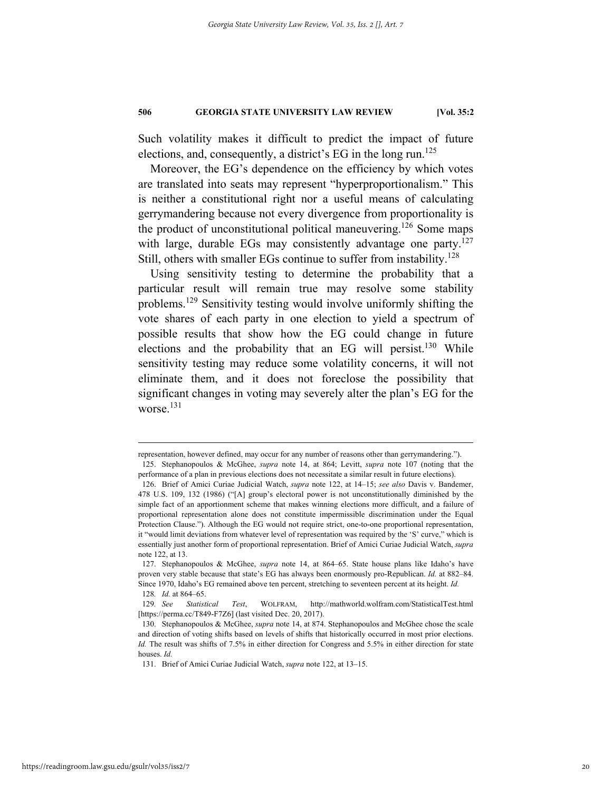Such volatility makes it difficult to predict the impact of future elections, and, consequently, a district's EG in the long run.<sup>125</sup>

Moreover, the EG's dependence on the efficiency by which votes are translated into seats may represent "hyperproportionalism." This is neither a constitutional right nor a useful means of calculating gerrymandering because not every divergence from proportionality is the product of unconstitutional political maneuvering.<sup>126</sup> Some maps with large, durable EGs may consistently advantage one party. $127$ Still, others with smaller EGs continue to suffer from instability.<sup>128</sup>

Using sensitivity testing to determine the probability that a particular result will remain true may resolve some stability problems.129 Sensitivity testing would involve uniformly shifting the vote shares of each party in one election to yield a spectrum of possible results that show how the EG could change in future elections and the probability that an EG will persist.<sup>130</sup> While sensitivity testing may reduce some volatility concerns, it will not eliminate them, and it does not foreclose the possibility that significant changes in voting may severely alter the plan's EG for the worse.<sup>131</sup>

representation, however defined, may occur for any number of reasons other than gerrymandering."). 125. Stephanopoulos & McGhee, *supra* note 14, at 864; Levitt, *supra* note 107 (noting that the performance of a plan in previous elections does not necessitate a similar result in future elections).

 <sup>126.</sup> Brief of Amici Curiae Judicial Watch, *supra* note 122, at 14–15; *see also* Davis v. Bandemer, 478 U.S. 109, 132 (1986) ("[A] group's electoral power is not unconstitutionally diminished by the simple fact of an apportionment scheme that makes winning elections more difficult, and a failure of proportional representation alone does not constitute impermissible discrimination under the Equal Protection Clause."). Although the EG would not require strict, one-to-one proportional representation, it "would limit deviations from whatever level of representation was required by the 'S' curve," which is essentially just another form of proportional representation. Brief of Amici Curiae Judicial Watch, *supra*  note 122, at 13.

 <sup>127.</sup> Stephanopoulos & McGhee, *supra* note 14, at 864–65. State house plans like Idaho's have proven very stable because that state's EG has always been enormously pro-Republican. *Id.* at 882–84. Since 1970, Idaho's EG remained above ten percent, stretching to seventeen percent at its height. *Id.*  128*. Id.* at 864–65.

<sup>129</sup>*. See Statistical Test*, WOLFRAM, http://mathworld.wolfram.com/StatisticalTest.html [https://perma.cc/T849-F7Z6] (last visited Dec. 20, 2017).

 <sup>130.</sup> Stephanopoulos & McGhee, *supra* note 14, at 874. Stephanopoulos and McGhee chose the scale and direction of voting shifts based on levels of shifts that historically occurred in most prior elections. *Id.* The result was shifts of 7.5% in either direction for Congress and 5.5% in either direction for state houses. *Id.*

 <sup>131.</sup> Brief of Amici Curiae Judicial Watch, *supra* note 122, at 13–15.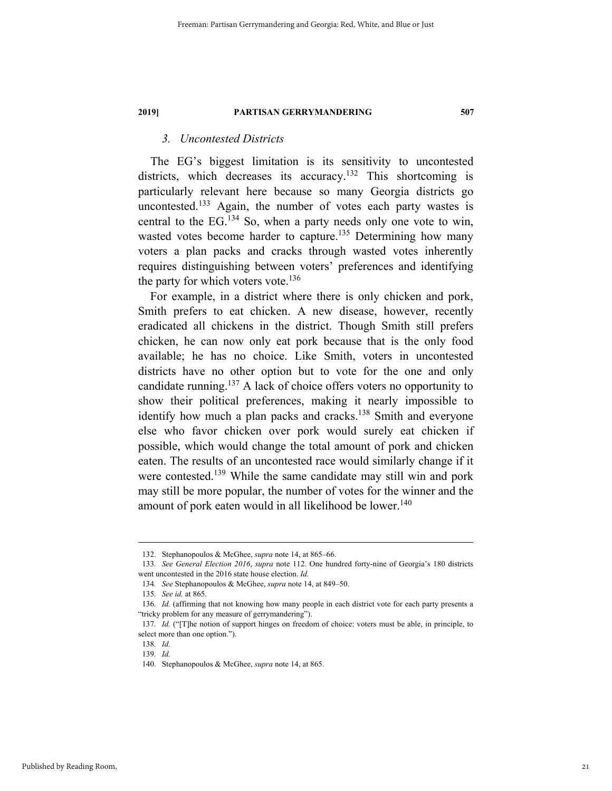### *3. Uncontested Districts*

The EG's biggest limitation is its sensitivity to uncontested districts, which decreases its accuracy.<sup>132</sup> This shortcoming is particularly relevant here because so many Georgia districts go uncontested.<sup>133</sup> Again, the number of votes each party wastes is central to the  $EG.134$  So, when a party needs only one vote to win, wasted votes become harder to capture.<sup>135</sup> Determining how many voters a plan packs and cracks through wasted votes inherently requires distinguishing between voters' preferences and identifying the party for which voters vote.<sup>136</sup>

For example, in a district where there is only chicken and pork, Smith prefers to eat chicken. A new disease, however, recently eradicated all chickens in the district. Though Smith still prefers chicken, he can now only eat pork because that is the only food available; he has no choice. Like Smith, voters in uncontested districts have no other option but to vote for the one and only candidate running.137 A lack of choice offers voters no opportunity to show their political preferences, making it nearly impossible to identify how much a plan packs and cracks.<sup>138</sup> Smith and everyone else who favor chicken over pork would surely eat chicken if possible, which would change the total amount of pork and chicken eaten. The results of an uncontested race would similarly change if it were contested.<sup>139</sup> While the same candidate may still win and pork may still be more popular, the number of votes for the winner and the amount of pork eaten would in all likelihood be lower.<sup>140</sup>

 <sup>132.</sup> Stephanopoulos & McGhee, *supra* note 14, at 865–66.

<sup>133</sup>*. See General Election 2016*, *supra* note 112. One hundred forty-nine of Georgia's 180 districts went uncontested in the 2016 state house election. *Id.*

<sup>134</sup>*. See* Stephanopoulos & McGhee, *supra* note 14, at 849–50.

<sup>135</sup>*. See id.* at 865.

<sup>136</sup>*. Id.* (affirming that not knowing how many people in each district vote for each party presents a "tricky problem for any measure of gerrymandering").

<sup>137</sup>*. Id.* ("[T]he notion of support hinges on freedom of choice: voters must be able, in principle, to select more than one option.").

<sup>138</sup>*. Id.*

<sup>139</sup>*. Id.*

 <sup>140.</sup> Stephanopoulos & McGhee, *supra* note 14, at 865.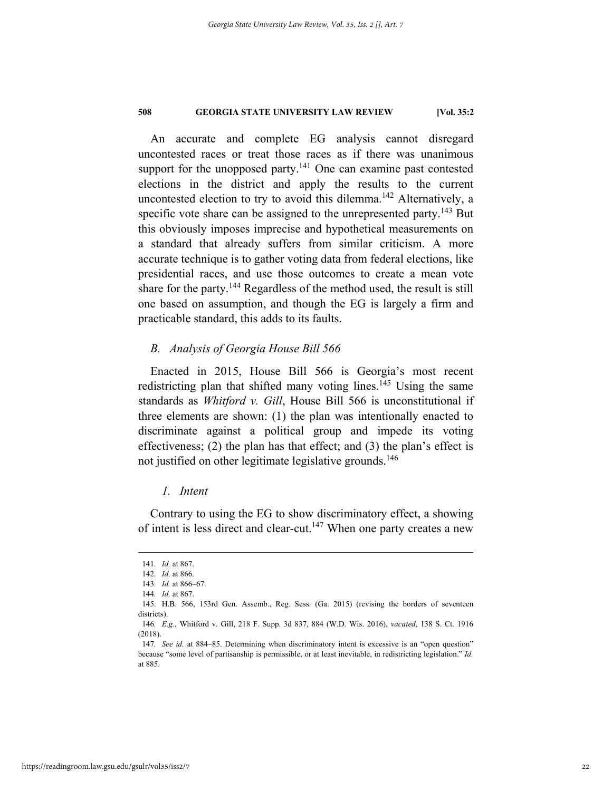An accurate and complete EG analysis cannot disregard uncontested races or treat those races as if there was unanimous support for the unopposed party.<sup>141</sup> One can examine past contested elections in the district and apply the results to the current uncontested election to try to avoid this dilemma.<sup>142</sup> Alternatively, a specific vote share can be assigned to the unrepresented party.<sup>143</sup> But this obviously imposes imprecise and hypothetical measurements on a standard that already suffers from similar criticism. A more accurate technique is to gather voting data from federal elections, like presidential races, and use those outcomes to create a mean vote share for the party.<sup>144</sup> Regardless of the method used, the result is still one based on assumption, and though the EG is largely a firm and practicable standard, this adds to its faults.

#### *B. Analysis of Georgia House Bill 566*

Enacted in 2015, House Bill 566 is Georgia's most recent redistricting plan that shifted many voting lines.<sup>145</sup> Using the same standards as *Whitford v. Gill*, House Bill 566 is unconstitutional if three elements are shown: (1) the plan was intentionally enacted to discriminate against a political group and impede its voting effectiveness; (2) the plan has that effect; and (3) the plan's effect is not justified on other legitimate legislative grounds.<sup>146</sup>

#### *1. Intent*

Contrary to using the EG to show discriminatory effect, a showing of intent is less direct and clear-cut.<sup>147</sup> When one party creates a new

 <sup>141</sup>*. Id.* at 867.

<sup>142</sup>*. Id.* at 866.

<sup>143</sup>*. Id.* at 866–67.

<sup>144</sup>*. Id.* at 867.

 <sup>145.</sup> H.B. 566, 153rd Gen. Assemb., Reg. Sess. (Ga. 2015) (revising the borders of seventeen districts).

<sup>146</sup>*. E.g.*, Whitford v. Gill, 218 F. Supp. 3d 837, 884 (W.D. Wis. 2016), *vacated*, 138 S. Ct. 1916 (2018).

<sup>147</sup>*. See id.* at 884–85. Determining when discriminatory intent is excessive is an "open question" because "some level of partisanship is permissible, or at least inevitable, in redistricting legislation." *Id.* at 885.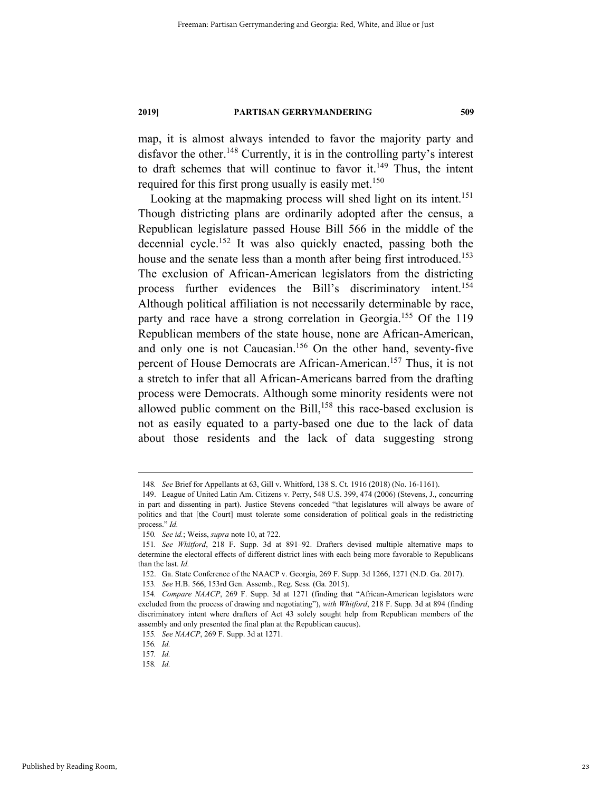map, it is almost always intended to favor the majority party and disfavor the other.<sup>148</sup> Currently, it is in the controlling party's interest to draft schemes that will continue to favor it.<sup>149</sup> Thus, the intent required for this first prong usually is easily met.<sup>150</sup>

Looking at the mapmaking process will shed light on its intent.<sup>151</sup> Though districting plans are ordinarily adopted after the census, a Republican legislature passed House Bill 566 in the middle of the decennial cycle.<sup>152</sup> It was also quickly enacted, passing both the house and the senate less than a month after being first introduced.<sup>153</sup> The exclusion of African-American legislators from the districting process further evidences the Bill's discriminatory intent.<sup>154</sup> Although political affiliation is not necessarily determinable by race, party and race have a strong correlation in Georgia.<sup>155</sup> Of the 119 Republican members of the state house, none are African-American, and only one is not Caucasian.156 On the other hand, seventy-five percent of House Democrats are African-American.157 Thus, it is not a stretch to infer that all African-Americans barred from the drafting process were Democrats. Although some minority residents were not allowed public comment on the Bill,<sup>158</sup> this race-based exclusion is not as easily equated to a party-based one due to the lack of data about those residents and the lack of data suggesting strong

 <sup>148</sup>*. See* Brief for Appellants at 63, Gill v. Whitford, 138 S. Ct. 1916 (2018) (No. 16-1161).

 <sup>149.</sup> League of United Latin Am. Citizens v. Perry, 548 U.S. 399, 474 (2006) (Stevens, J., concurring in part and dissenting in part). Justice Stevens conceded "that legislatures will always be aware of politics and that [the Court] must tolerate some consideration of political goals in the redistricting process." *Id.* 

<sup>150</sup>*. See id.*; Weiss, *supra* note 10, at 722.

<sup>151</sup>*. See Whitford*, 218 F. Supp. 3d at 891–92. Drafters devised multiple alternative maps to determine the electoral effects of different district lines with each being more favorable to Republicans than the last. *Id.*

 <sup>152.</sup> Ga. State Conference of the NAACP v. Georgia, 269 F. Supp. 3d 1266, 1271 (N.D. Ga. 2017).

<sup>153</sup>*. See* H.B. 566, 153rd Gen. Assemb., Reg. Sess. (Ga. 2015).

<sup>154</sup>*. Compare NAACP*, 269 F. Supp. 3d at 1271 (finding that "African-American legislators were excluded from the process of drawing and negotiating"), *with Whitford*, 218 F. Supp. 3d at 894 (finding discriminatory intent where drafters of Act 43 solely sought help from Republican members of the assembly and only presented the final plan at the Republican caucus).

<sup>155</sup>*. See NAACP*, 269 F. Supp. 3d at 1271.

<sup>156</sup>*. Id.*

<sup>157</sup>*. Id.*

<sup>158</sup>*. Id.*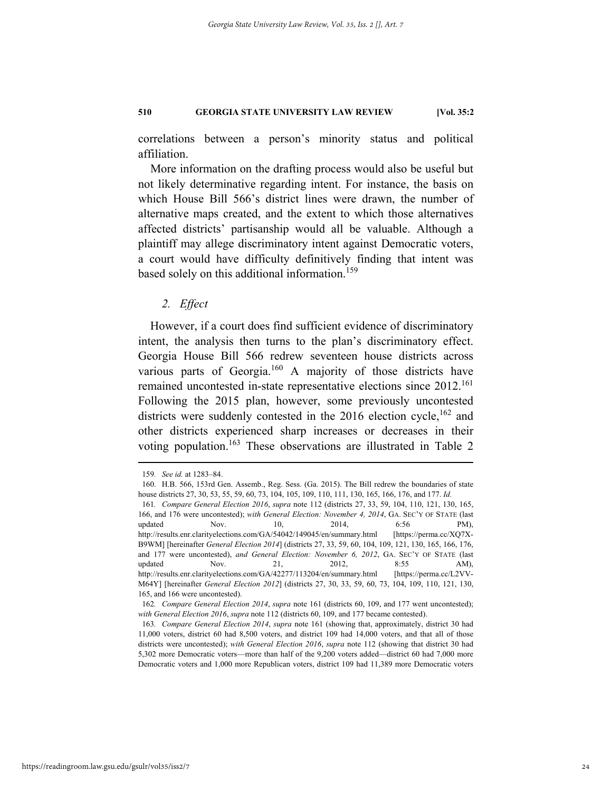correlations between a person's minority status and political affiliation.

More information on the drafting process would also be useful but not likely determinative regarding intent. For instance, the basis on which House Bill 566's district lines were drawn, the number of alternative maps created, and the extent to which those alternatives affected districts' partisanship would all be valuable. Although a plaintiff may allege discriminatory intent against Democratic voters, a court would have difficulty definitively finding that intent was based solely on this additional information.<sup>159</sup>

#### *2. Effect*

However, if a court does find sufficient evidence of discriminatory intent, the analysis then turns to the plan's discriminatory effect. Georgia House Bill 566 redrew seventeen house districts across various parts of Georgia.<sup>160</sup> A majority of those districts have remained uncontested in-state representative elections since 2012.<sup>161</sup> Following the 2015 plan, however, some previously uncontested districts were suddenly contested in the  $2016$  election cycle,<sup>162</sup> and other districts experienced sharp increases or decreases in their voting population.<sup>163</sup> These observations are illustrated in Table 2

 <sup>159</sup>*. See id.* at 1283–84.

 <sup>160.</sup> H.B. 566, 153rd Gen. Assemb., Reg. Sess. (Ga. 2015). The Bill redrew the boundaries of state house districts 27, 30, 53, 55, 59, 60, 73, 104, 105, 109, 110, 111, 130, 165, 166, 176, and 177. *Id.* 

<sup>161</sup>*. Compare General Election 2016*, *supra* note 112 (districts 27, 33, 59, 104, 110, 121, 130, 165, 166, and 176 were uncontested); *with General Election: November 4, 2014*, GA. SEC'Y OF STATE (last updated Nov.  $10,$   $2014,$   $6:56$  PM), http://results.enr.clarityelections.com/GA/54042/149045/en/summary.html [https://perma.cc/XQ7X-B9WM] [hereinafter *General Election 2014*] (districts 27, 33, 59, 60, 104, 109, 121, 130, 165, 166, 176, and 177 were uncontested), *and General Election: November 6, 2012*, GA. SEC'Y OF STATE (last updated Nov. 21, 2012, 8:55 AM), http://results.enr.clarityelections.com/GA/42277/113204/en/summary.html [https://perma.cc/L2VV-M64Y] [hereinafter *General Election 2012*] (districts 27, 30, 33, 59, 60, 73, 104, 109, 110, 121, 130, 165, and 166 were uncontested).

<sup>162</sup>*. Compare General Election 2014*, *supra* note 161 (districts 60, 109, and 177 went uncontested); *with General Election 2016*, *supra* note 112 (districts 60, 109, and 177 became contested).

<sup>163</sup>*. Compare General Election 2014*, *supra* note 161 (showing that, approximately, district 30 had 11,000 voters, district 60 had 8,500 voters, and district 109 had 14,000 voters, and that all of those districts were uncontested); *with General Election 2016*, *supra* note 112 (showing that district 30 had 5,302 more Democratic voters—more than half of the 9,200 voters added—district 60 had 7,000 more Democratic voters and 1,000 more Republican voters, district 109 had 11,389 more Democratic voters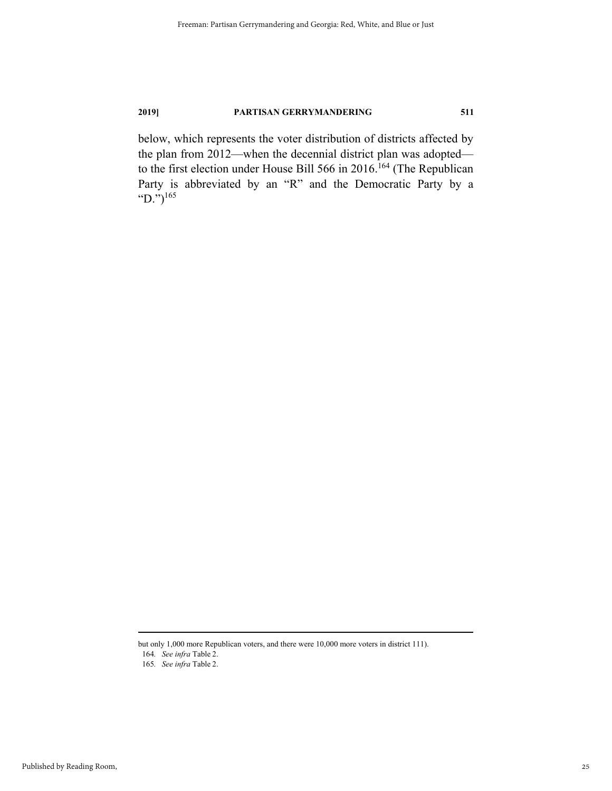below, which represents the voter distribution of districts affected by the plan from 2012—when the decennial district plan was adopted to the first election under House Bill 566 in 2016.<sup>164</sup> (The Republican Party is abbreviated by an "R" and the Democratic Party by a "D.") $^{165}$ 

but only 1,000 more Republican voters, and there were 10,000 more voters in district 111). 164*. See infra* Table 2.

<sup>165</sup>*. See infra* Table 2.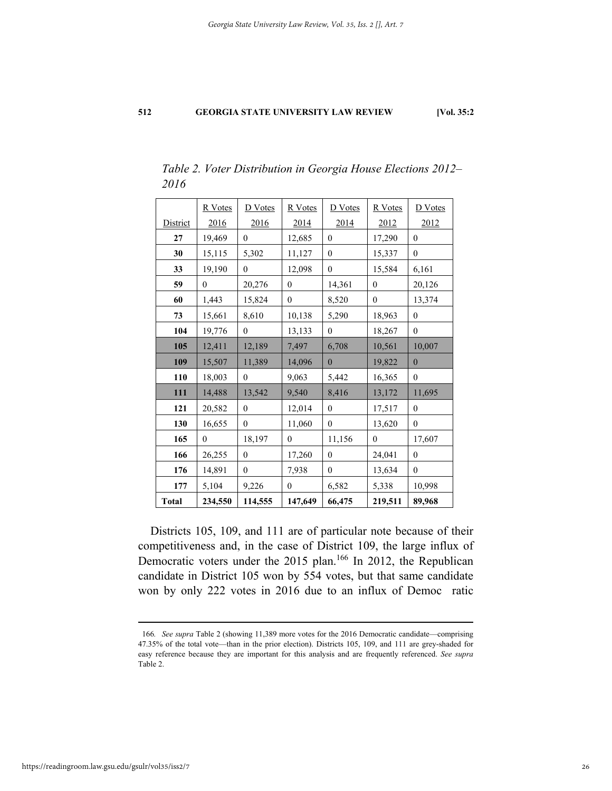|              | R Votes      | D Votes      | R Votes      | D Votes      | R Votes      | <b>D</b> Votes   |
|--------------|--------------|--------------|--------------|--------------|--------------|------------------|
| District     | 2016         | 2016         | 2014         | 2014         | 2012         | 2012             |
| 27           | 19,469       | $\mathbf{0}$ | 12,685       | $\mathbf{0}$ | 17,290       | $\boldsymbol{0}$ |
| 30           | 15,115       | 5,302        | 11,127       | $\mathbf{0}$ | 15,337       | $\theta$         |
| 33           | 19,190       | $\mathbf{0}$ | 12,098       | $\mathbf{0}$ | 15,584       | 6,161            |
| 59           | $\mathbf{0}$ | 20,276       | $\mathbf{0}$ | 14,361       | $\mathbf{0}$ | 20,126           |
| 60           | 1,443        | 15,824       | $\mathbf{0}$ | 8,520        | $\mathbf{0}$ | 13,374           |
| 73           | 15,661       | 8,610        | 10,138       | 5,290        | 18,963       | $\theta$         |
| 104          | 19,776       | $\theta$     | 13,133       | $\mathbf{0}$ | 18,267       | $\mathbf{0}$     |
| 105          | 12,411       | 12,189       | 7,497        | 6,708        | 10,561       | 10,007           |
| 109          | 15,507       | 11,389       | 14,096       | $\mathbf{0}$ | 19,822       | $\mathbf{0}$     |
| 110          | 18,003       | $\mathbf{0}$ | 9,063        | 5,442        | 16,365       | $\mathbf{0}$     |
| 111          | 14,488       | 13,542       | 9,540        | 8,416        | 13,172       | 11,695           |
| 121          | 20,582       | $\mathbf{0}$ | 12,014       | $\mathbf{0}$ | 17,517       | $\mathbf{0}$     |
| 130          | 16,655       | $\theta$     | 11,060       | $\mathbf{0}$ | 13,620       | $\theta$         |
| 165          | $\mathbf{0}$ | 18,197       | $\theta$     | 11,156       | $\theta$     | 17,607           |
| 166          | 26,255       | $\mathbf{0}$ | 17,260       | $\mathbf{0}$ | 24,041       | $\mathbf{0}$     |
| 176          | 14,891       | $\theta$     | 7,938        | $\mathbf{0}$ | 13,634       | $\theta$         |
| 177          | 5,104        | 9,226        | $\mathbf{0}$ | 6,582        | 5,338        | 10,998           |
| <b>Total</b> | 234,550      | 114,555      | 147,649      | 66,475       | 219,511      | 89,968           |

*Table 2. Voter Distribution in Georgia House Elections 2012– 2016* 

Districts 105, 109, and 111 are of particular note because of their competitiveness and, in the case of District 109, the large influx of Democratic voters under the 2015 plan.<sup>166</sup> In 2012, the Republican candidate in District 105 won by 554 votes, but that same candidate won by only 222 votes in 2016 due to an influx of Democ ratic

 <sup>166</sup>*. See supra* Table 2 (showing 11,389 more votes for the 2016 Democratic candidate—comprising 47.35% of the total vote—than in the prior election). Districts 105, 109, and 111 are grey-shaded for easy reference because they are important for this analysis and are frequently referenced. *See supra*  Table 2.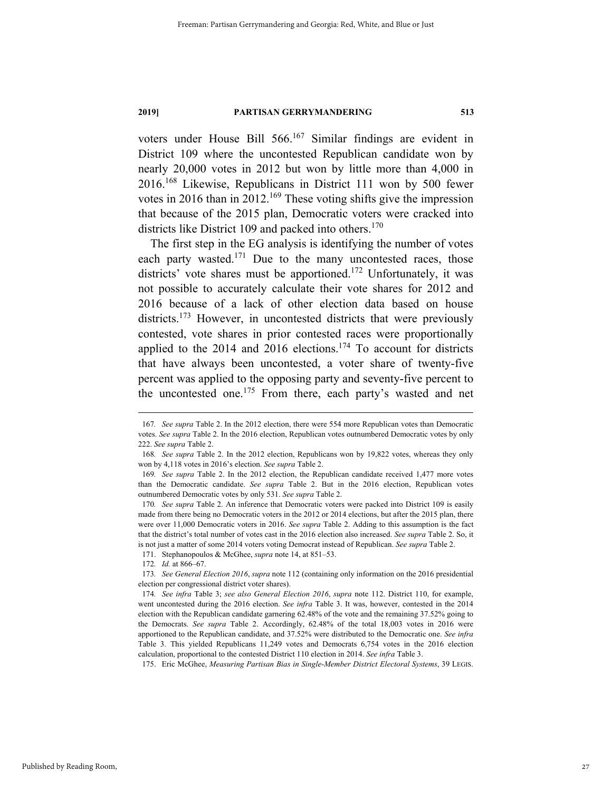voters under House Bill 566.<sup>167</sup> Similar findings are evident in District 109 where the uncontested Republican candidate won by nearly 20,000 votes in 2012 but won by little more than 4,000 in 2016.168 Likewise, Republicans in District 111 won by 500 fewer votes in 2016 than in 2012.<sup>169</sup> These voting shifts give the impression that because of the 2015 plan, Democratic voters were cracked into districts like District 109 and packed into others.<sup>170</sup>

The first step in the EG analysis is identifying the number of votes each party wasted.<sup>171</sup> Due to the many uncontested races, those districts' vote shares must be apportioned.<sup>172</sup> Unfortunately, it was not possible to accurately calculate their vote shares for 2012 and 2016 because of a lack of other election data based on house districts.<sup>173</sup> However, in uncontested districts that were previously contested, vote shares in prior contested races were proportionally applied to the 2014 and 2016 elections.<sup>174</sup> To account for districts that have always been uncontested, a voter share of twenty-five percent was applied to the opposing party and seventy-five percent to the uncontested one.<sup>175</sup> From there, each party's wasted and net

 <sup>167</sup>*. See supra* Table 2. In the 2012 election, there were 554 more Republican votes than Democratic votes. *See supra* Table 2. In the 2016 election, Republican votes outnumbered Democratic votes by only 222. *See supra* Table 2.

<sup>168</sup>*. See supra* Table 2. In the 2012 election, Republicans won by 19,822 votes, whereas they only won by 4,118 votes in 2016's election. *See supra* Table 2.

<sup>169</sup>*. See supra* Table 2. In the 2012 election, the Republican candidate received 1,477 more votes than the Democratic candidate. *See supra* Table 2. But in the 2016 election, Republican votes outnumbered Democratic votes by only 531. *See supra* Table 2.

<sup>170</sup>*. See supra* Table 2. An inference that Democratic voters were packed into District 109 is easily made from there being no Democratic voters in the 2012 or 2014 elections, but after the 2015 plan, there were over 11,000 Democratic voters in 2016. *See supra* Table 2. Adding to this assumption is the fact that the district's total number of votes cast in the 2016 election also increased. *See supra* Table 2. So, it is not just a matter of some 2014 voters voting Democrat instead of Republican. *See supra* Table 2.

 <sup>171.</sup> Stephanopoulos & McGhee, *supra* note 14, at 851–53.

<sup>172</sup>*. Id.* at 866–67.

<sup>173</sup>*. See General Election 2016*, *supra* note 112 (containing only information on the 2016 presidential election per congressional district voter shares).

<sup>174</sup>*. See infra* Table 3; *see also General Election 2016*, *supra* note 112. District 110, for example, went uncontested during the 2016 election. *See infra* Table 3. It was, however, contested in the 2014 election with the Republican candidate garnering 62.48% of the vote and the remaining 37.52% going to the Democrats. *See supra* Table 2. Accordingly, 62.48% of the total 18,003 votes in 2016 were apportioned to the Republican candidate, and 37.52% were distributed to the Democratic one. *See infra*  Table 3. This yielded Republicans 11,249 votes and Democrats 6,754 votes in the 2016 election calculation, proportional to the contested District 110 election in 2014. *See infra* Table 3.

 <sup>175.</sup> Eric McGhee, *Measuring Partisan Bias in Single-Member District Electoral Systems*, 39 LEGIS.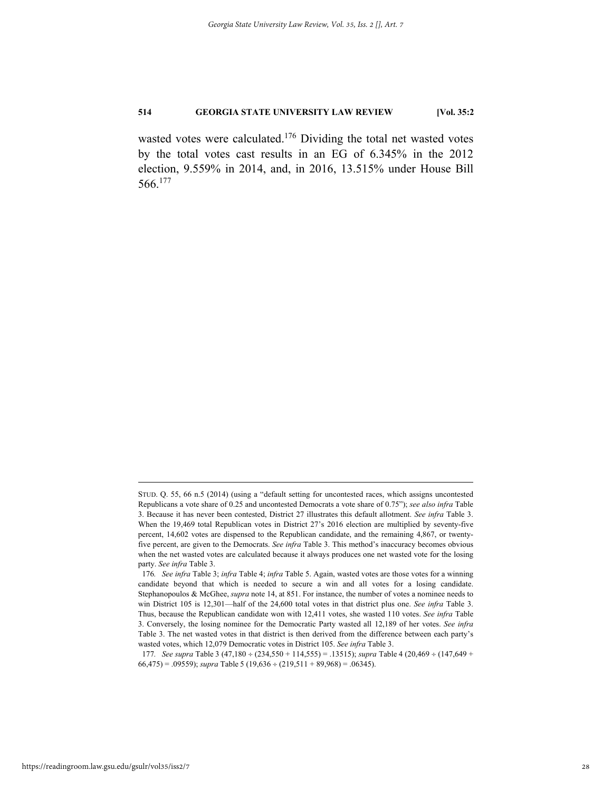wasted votes were calculated.<sup>176</sup> Dividing the total net wasted votes by the total votes cast results in an EG of 6.345% in the 2012 election, 9.559% in 2014, and, in 2016, 13.515% under House Bill 566.177

STUD. Q. 55, 66 n.5 (2014) (using a "default setting for uncontested races, which assigns uncontested Republicans a vote share of 0.25 and uncontested Democrats a vote share of 0.75"); *see also infra* Table 3. Because it has never been contested, District 27 illustrates this default allotment. *See infra* Table 3. When the 19,469 total Republican votes in District 27's 2016 election are multiplied by seventy-five percent, 14,602 votes are dispensed to the Republican candidate, and the remaining 4,867, or twentyfive percent, are given to the Democrats. *See infra* Table 3. This method's inaccuracy becomes obvious when the net wasted votes are calculated because it always produces one net wasted vote for the losing party. *See infra* Table 3.

<sup>176</sup>*. See infra* Table 3; *infra* Table 4; *infra* Table 5. Again, wasted votes are those votes for a winning candidate beyond that which is needed to secure a win and all votes for a losing candidate. Stephanopoulos & McGhee, *supra* note 14, at 851. For instance, the number of votes a nominee needs to win District 105 is 12,301—half of the 24,600 total votes in that district plus one. *See infra* Table 3. Thus, because the Republican candidate won with 12,411 votes, she wasted 110 votes. *See infra* Table 3. Conversely, the losing nominee for the Democratic Party wasted all 12,189 of her votes. *See infra*  Table 3. The net wasted votes in that district is then derived from the difference between each party's wasted votes, which 12,079 Democratic votes in District 105. *See infra* Table 3.

<sup>177</sup>*. See supra* Table 3 (47,180 ÷ (234,550 + 114,555) = .13515); *supra* Table 4 (20,469 ÷ (147,649 +  $66,475$  = .09559); *supra* Table 5 (19,636 ÷ (219,511 + 89,968) = .06345).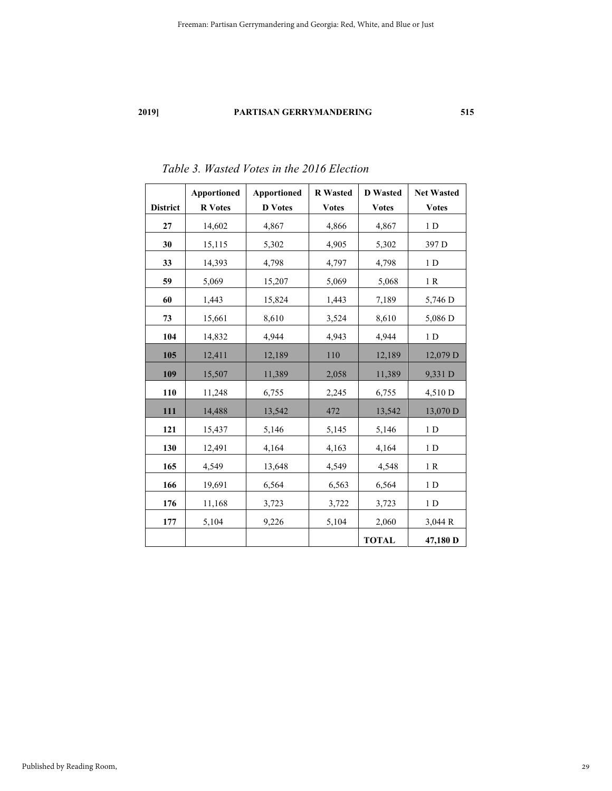|                 | <b>Apportioned</b> | <b>Apportioned</b> | <b>R</b> Wasted | <b>D</b> Wasted | <b>Net Wasted</b> |
|-----------------|--------------------|--------------------|-----------------|-----------------|-------------------|
| <b>District</b> | <b>R</b> Votes     | <b>D</b> Votes     | <b>Votes</b>    | <b>Votes</b>    | <b>Votes</b>      |
| 27              | 14,602             | 4,867              | 4,866           | 4,867           | $1\,D$            |
| 30              | 15,115             | 5,302              | 4,905           | 5,302           | 397 D             |
| 33              | 14,393             | 4,798              | 4,797           | 4,798           | 1 <sub>D</sub>    |
| 59              | 5,069              | 15,207             | 5,069           | 5,068           | 1R                |
| 60              | 1,443              | 15,824             | 1,443           | 7,189           | 5,746 D           |
| 73              | 15,661             | 8,610              | 3,524           | 8,610           | 5,086 D           |
| 104             | 14,832             | 4,944              | 4,943           | 4,944           | 1 <sub>D</sub>    |
| 105             | 12,411             | 12,189             | 110             | 12,189          | 12,079 D          |
| 109             | 15,507             | 11,389             | 2,058           | 11,389          | 9,331 D           |
| 110             | 11,248             | 6,755              | 2,245           | 6,755           | 4,510 D           |
| 111             | 14,488             | 13,542             | 472             | 13,542          | 13,070 D          |
| 121             | 15,437             | 5,146              | 5,145           | 5,146           | 1 <sub>D</sub>    |
| 130             | 12,491             | 4,164              | 4,163           | 4,164           | 1 <sub>D</sub>    |
| 165             | 4,549              | 13,648             | 4,549           | 4,548           | 1R                |
| 166             | 19,691             | 6,564              | 6,563           | 6,564           | 1 <sub>D</sub>    |
| 176             | 11,168             | 3,723              | 3,722           | 3,723           | 1 <sub>D</sub>    |
| 177             | 5,104              | 9,226              | 5,104           | 2,060           | 3,044 R           |
|                 |                    |                    |                 | <b>TOTAL</b>    | 47,180 D          |

# *Table 3. Wasted Votes in the 2016 Election*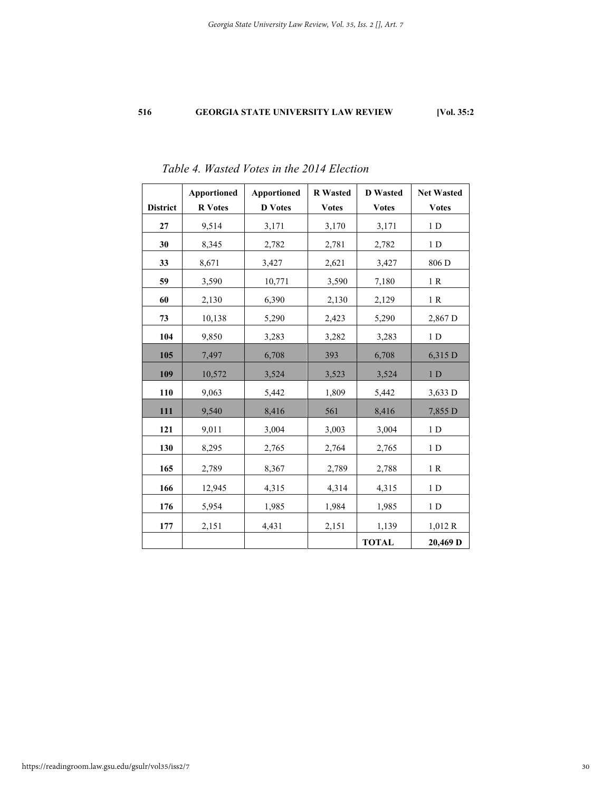|                 | <b>Apportioned</b> | <b>Apportioned</b> | <b>R</b> Wasted | <b>D</b> Wasted | <b>Net Wasted</b> |
|-----------------|--------------------|--------------------|-----------------|-----------------|-------------------|
| <b>District</b> | <b>R</b> Votes     | <b>D</b> Votes     | <b>Votes</b>    | <b>Votes</b>    | <b>Votes</b>      |
| 27              | 9,514              | 3,171              | 3,170           | 3,171           | 1 <sub>D</sub>    |
| 30              | 8,345              | 2,782              | 2,781           | 2,782           | 1 <sub>D</sub>    |
| 33              | 8,671              | 3,427              | 2,621           | 3,427           | 806 D             |
| 59              | 3,590              | 10,771             | 3,590           | 7,180           | 1R                |
| 60              | 2,130              | 6,390              | 2,130           | 2,129           | 1 R               |
| 73              | 10,138             | 5,290              | 2,423           | 5,290           | 2,867 D           |
| 104             | 9,850              | 3,283              | 3,282           | 3,283           | 1 <sub>D</sub>    |
| 105             | 7,497              | 6,708              | 393             | 6,708           | 6,315 D           |
| 109             | 10,572             | 3,524              | 3,523           | 3,524           | 1 <sub>D</sub>    |
| 110             | 9,063              | 5,442              | 1,809           | 5,442           | 3,633 D           |
| 111             | 9,540              | 8,416              | 561             | 8,416           | 7,855 D           |
| 121             | 9,011              | 3,004              | 3,003           | 3,004           | 1 <sub>D</sub>    |
| 130             | 8,295              | 2,765              | 2,764           | 2,765           | 1 <sub>D</sub>    |
| 165             | 2,789              | 8,367              | 2,789           | 2,788           | 1R                |
| 166             | 12,945             | 4,315              | 4,314           | 4,315           | $1\,D$            |
| 176             | 5,954              | 1,985              | 1,984           | 1,985           | 1 <sub>D</sub>    |
| 177             | 2,151              | 4,431              | 2,151           | 1,139           | 1,012 R           |
|                 |                    |                    |                 | <b>TOTAL</b>    | 20,469 D          |

# *Table 4. Wasted Votes in the 2014 Election*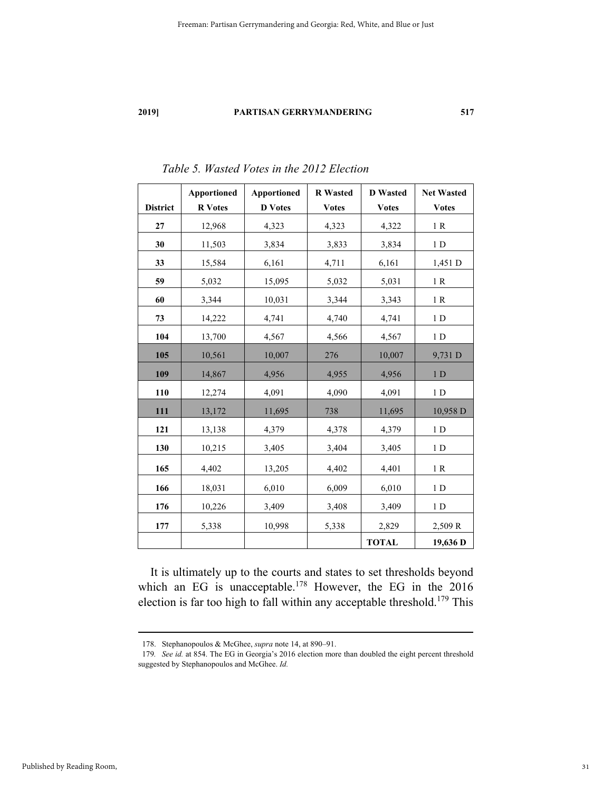|                 | <b>Apportioned</b> | <b>Apportioned</b> | <b>R</b> Wasted | <b>D</b> Wasted | <b>Net Wasted</b> |
|-----------------|--------------------|--------------------|-----------------|-----------------|-------------------|
| <b>District</b> | <b>R</b> Votes     | <b>D</b> Votes     | <b>Votes</b>    | <b>Votes</b>    | <b>Votes</b>      |
| 27              | 12,968             | 4,323              | 4,323           | 4,322           | 1 R               |
| 30              | 11,503             | 3,834              | 3,833           | 3,834           | 1 <sub>D</sub>    |
| 33              | 15,584             | 6,161              | 4,711           | 6,161           | 1,451 D           |
| 59              | 5,032              | 15,095             | 5,032           | 5,031           | 1R                |
| 60              | 3,344              | 10,031             | 3,344           | 3,343           | 1 R               |
| 73              | 14,222             | 4,741              | 4,740           | 4,741           | 1 <sub>D</sub>    |
| 104             | 13,700             | 4,567              | 4,566           | 4,567           | 1 <sub>D</sub>    |
| 105             | 10,561             | 10,007             | 276             | 10,007          | 9,731 D           |
| 109             | 14,867             | 4,956              | 4,955           | 4,956           | 1 <sub>D</sub>    |
| 110             | 12,274             | 4,091              | 4,090           | 4,091           | 1 <sub>D</sub>    |
| 111             | 13,172             | 11,695             | 738             | 11,695          | 10,958 D          |
| 121             | 13,138             | 4,379              | 4,378           | 4,379           | 1 <sub>D</sub>    |
| 130             | 10,215             | 3,405              | 3,404           | 3,405           | 1 <sub>D</sub>    |
| 165             | 4,402              | 13,205             | 4,402           | 4,401           | 1 R               |
| 166             | 18,031             | 6,010              | 6,009           | 6,010           | 1 <sub>D</sub>    |
| 176             | 10,226             | 3,409              | 3,408           | 3,409           | 1 <sub>D</sub>    |
| 177             | 5,338              | 10,998             | 5,338           | 2,829           | 2,509 R           |
|                 |                    |                    |                 | <b>TOTAL</b>    | 19,636 D          |

*Table 5. Wasted Votes in the 2012 Election* 

It is ultimately up to the courts and states to set thresholds beyond which an EG is unacceptable.<sup>178</sup> However, the EG in the 2016 election is far too high to fall within any acceptable threshold.179 This

 <sup>178.</sup> Stephanopoulos & McGhee, *supra* note 14, at 890–91.

<sup>179</sup>*. See id.* at 854. The EG in Georgia's 2016 election more than doubled the eight percent threshold suggested by Stephanopoulos and McGhee. *Id.*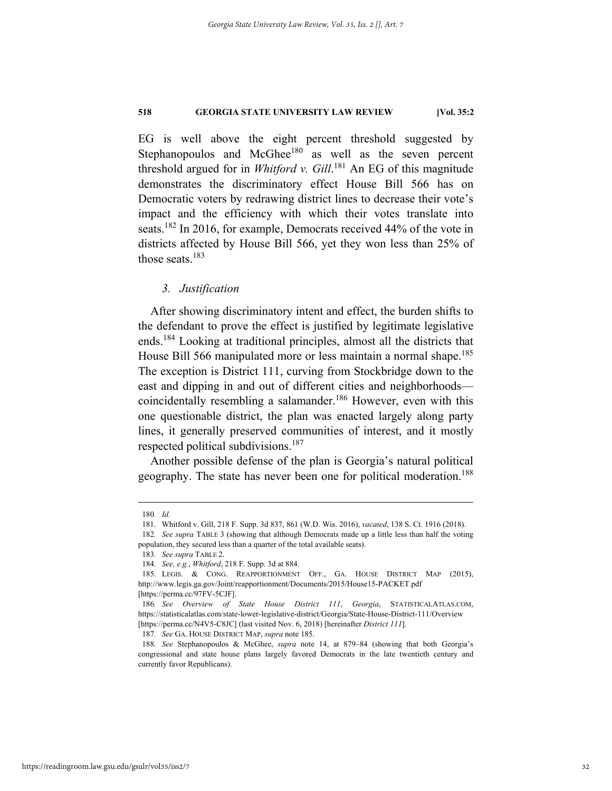EG is well above the eight percent threshold suggested by Stephanopoulos and McGhee<sup>180</sup> as well as the seven percent threshold argued for in *Whitford v. Gill*. 181 An EG of this magnitude demonstrates the discriminatory effect House Bill 566 has on Democratic voters by redrawing district lines to decrease their vote's impact and the efficiency with which their votes translate into seats.<sup>182</sup> In 2016, for example, Democrats received 44% of the vote in districts affected by House Bill 566, yet they won less than 25% of those seats.<sup>183</sup>

#### *3. Justification*

After showing discriminatory intent and effect, the burden shifts to the defendant to prove the effect is justified by legitimate legislative ends.184 Looking at traditional principles, almost all the districts that House Bill 566 manipulated more or less maintain a normal shape.<sup>185</sup> The exception is District 111, curving from Stockbridge down to the east and dipping in and out of different cities and neighborhoods coincidentally resembling a salamander.<sup>186</sup> However, even with this one questionable district, the plan was enacted largely along party lines, it generally preserved communities of interest, and it mostly respected political subdivisions.<sup>187</sup>

Another possible defense of the plan is Georgia's natural political geography. The state has never been one for political moderation.<sup>188</sup>

187*. See* GA. HOUSE DISTRICT MAP, *supra* note 185.

 <sup>180</sup>*. Id.*

 <sup>181.</sup> Whitford v. Gill, 218 F. Supp. 3d 837, 861 (W.D. Wis. 2016), *vacated*, 138 S. Ct. 1916 (2018).

<sup>182</sup>*. See supra* TABLE 3 (showing that although Democrats made up a little less than half the voting population, they secured less than a quarter of the total available seats).

<sup>183</sup>*. See supra* TABLE 2.

<sup>184</sup>*. See, e.g.*, *Whitford*, 218 F. Supp. 3d at 884.

 <sup>185.</sup> LEGIS. & CONG. REAPPORTIONMENT OFF., GA. HOUSE DISTRICT MAP (2015), http://www.legis.ga.gov/Joint/reapportionment/Documents/2015/House15-PACKET.pdf [https://perma.cc/97FV-5CJF].

<sup>186</sup>*. See Overview of State House District 111*, *Georgia*, STATISTICALATLAS.COM, https://statisticalatlas.com/state-lower-legislative-district/Georgia/State-House-District-111/Overview [https://perma.cc/N4V5-C8JC] (last visited Nov. 6, 2018) [hereinafter *District 111*].

<sup>188</sup>*. See* Stephanopoulos & McGhee, *supra* note 14, at 879–84 (showing that both Georgia's congressional and state house plans largely favored Democrats in the late twentieth century and currently favor Republicans).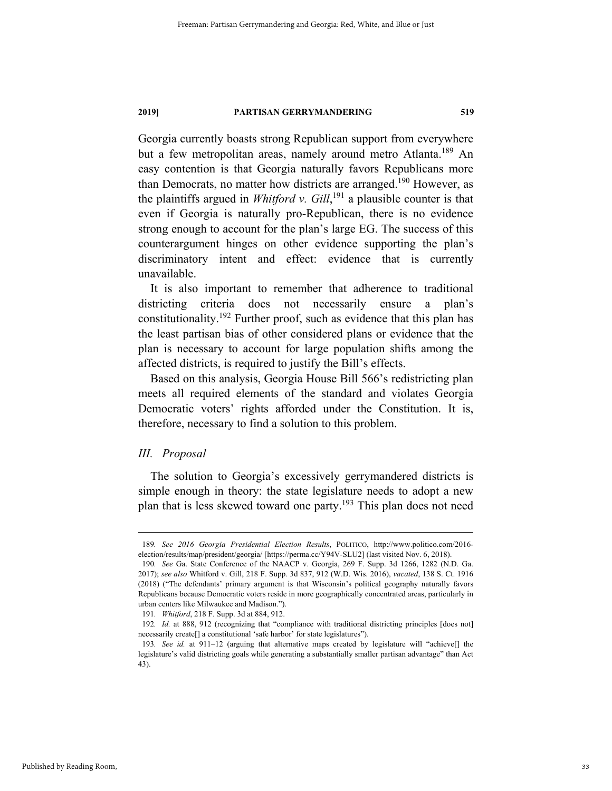Georgia currently boasts strong Republican support from everywhere but a few metropolitan areas, namely around metro Atlanta.<sup>189</sup> An easy contention is that Georgia naturally favors Republicans more than Democrats, no matter how districts are arranged.<sup>190</sup> However, as the plaintiffs argued in *Whitford v. Gill*, 191 a plausible counter is that even if Georgia is naturally pro-Republican, there is no evidence strong enough to account for the plan's large EG. The success of this counterargument hinges on other evidence supporting the plan's discriminatory intent and effect: evidence that is currently unavailable.

It is also important to remember that adherence to traditional districting criteria does not necessarily ensure a plan's constitutionality.<sup>192</sup> Further proof, such as evidence that this plan has the least partisan bias of other considered plans or evidence that the plan is necessary to account for large population shifts among the affected districts, is required to justify the Bill's effects.

Based on this analysis, Georgia House Bill 566's redistricting plan meets all required elements of the standard and violates Georgia Democratic voters' rights afforded under the Constitution. It is, therefore, necessary to find a solution to this problem.

#### *III. Proposal*

The solution to Georgia's excessively gerrymandered districts is simple enough in theory: the state legislature needs to adopt a new plan that is less skewed toward one party.<sup>193</sup> This plan does not need

 <sup>189</sup>*. See 2016 Georgia Presidential Election Results*, POLITICO, http://www.politico.com/2016 election/results/map/president/georgia/ [https://perma.cc/Y94V-SLU2] (last visited Nov. 6, 2018).

<sup>190</sup>*. See* Ga. State Conference of the NAACP v. Georgia, 269 F. Supp. 3d 1266, 1282 (N.D. Ga. 2017); *see also* Whitford v. Gill, 218 F. Supp. 3d 837, 912 (W.D. Wis. 2016), *vacated*, 138 S. Ct. 1916 (2018) ("The defendants' primary argument is that Wisconsin's political geography naturally favors Republicans because Democratic voters reside in more geographically concentrated areas, particularly in urban centers like Milwaukee and Madison.").

<sup>191</sup>*. Whitford*, 218 F. Supp. 3d at 884, 912.

<sup>192</sup>*. Id.* at 888, 912 (recognizing that "compliance with traditional districting principles [does not] necessarily create[] a constitutional 'safe harbor' for state legislatures").

<sup>193</sup>*. See id.* at 911–12 (arguing that alternative maps created by legislature will "achieve[] the legislature's valid districting goals while generating a substantially smaller partisan advantage" than Act 43).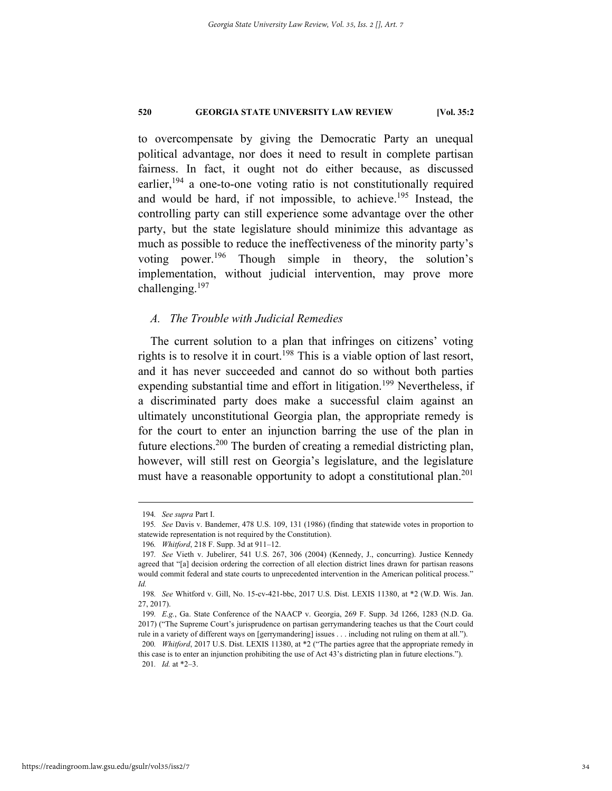to overcompensate by giving the Democratic Party an unequal political advantage, nor does it need to result in complete partisan fairness. In fact, it ought not do either because, as discussed earlier,  $194$  a one-to-one voting ratio is not constitutionally required and would be hard, if not impossible, to achieve.<sup>195</sup> Instead, the controlling party can still experience some advantage over the other party, but the state legislature should minimize this advantage as much as possible to reduce the ineffectiveness of the minority party's voting power.196 Though simple in theory, the solution's implementation, without judicial intervention, may prove more challenging. $197$ 

#### *A. The Trouble with Judicial Remedies*

The current solution to a plan that infringes on citizens' voting rights is to resolve it in court.<sup>198</sup> This is a viable option of last resort, and it has never succeeded and cannot do so without both parties expending substantial time and effort in litigation.<sup>199</sup> Nevertheless, if a discriminated party does make a successful claim against an ultimately unconstitutional Georgia plan, the appropriate remedy is for the court to enter an injunction barring the use of the plan in future elections.200 The burden of creating a remedial districting plan, however, will still rest on Georgia's legislature, and the legislature must have a reasonable opportunity to adopt a constitutional plan.<sup>201</sup>

 <sup>194</sup>*. See supra* Part I.

<sup>195</sup>*. See* Davis v. Bandemer, 478 U.S. 109, 131 (1986) (finding that statewide votes in proportion to statewide representation is not required by the Constitution).

<sup>196</sup>*. Whitford*, 218 F. Supp. 3d at 911–12.

<sup>197</sup>*. See* Vieth v. Jubelirer, 541 U.S. 267, 306 (2004) (Kennedy, J., concurring). Justice Kennedy agreed that "[a] decision ordering the correction of all election district lines drawn for partisan reasons would commit federal and state courts to unprecedented intervention in the American political process." *Id.* 

<sup>198</sup>*. See* Whitford v. Gill, No. 15-cv-421-bbc, 2017 U.S. Dist. LEXIS 11380, at \*2 (W.D. Wis. Jan. 27, 2017).

<sup>199</sup>*. E.g.*, Ga. State Conference of the NAACP v. Georgia, 269 F. Supp. 3d 1266, 1283 (N.D. Ga. 2017) ("The Supreme Court's jurisprudence on partisan gerrymandering teaches us that the Court could rule in a variety of different ways on [gerrymandering] issues . . . including not ruling on them at all.").

<sup>200</sup>*. Whitford*, 2017 U.S. Dist. LEXIS 11380, at \*2 ("The parties agree that the appropriate remedy in this case is to enter an injunction prohibiting the use of Act 43's districting plan in future elections."). 201*. Id.* at \*2–3.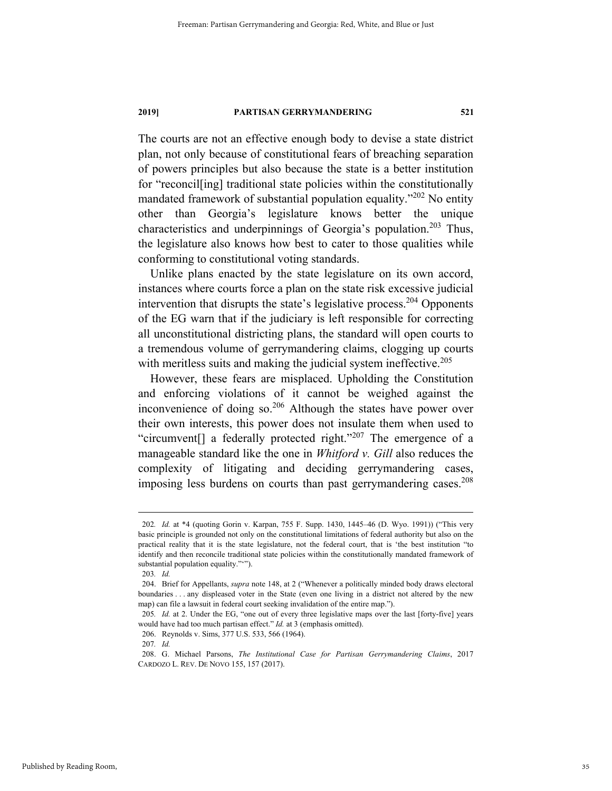The courts are not an effective enough body to devise a state district plan, not only because of constitutional fears of breaching separation of powers principles but also because the state is a better institution for "reconcil[ing] traditional state policies within the constitutionally mandated framework of substantial population equality."<sup>202</sup> No entity other than Georgia's legislature knows better the unique characteristics and underpinnings of Georgia's population.<sup>203</sup> Thus, the legislature also knows how best to cater to those qualities while conforming to constitutional voting standards.

Unlike plans enacted by the state legislature on its own accord, instances where courts force a plan on the state risk excessive judicial intervention that disrupts the state's legislative process.<sup>204</sup> Opponents of the EG warn that if the judiciary is left responsible for correcting all unconstitutional districting plans, the standard will open courts to a tremendous volume of gerrymandering claims, clogging up courts with meritless suits and making the judicial system ineffective.<sup>205</sup>

However, these fears are misplaced. Upholding the Constitution and enforcing violations of it cannot be weighed against the inconvenience of doing so. $206$  Although the states have power over their own interests, this power does not insulate them when used to "circumvent<sup>[]</sup> a federally protected right."<sup>207</sup> The emergence of a manageable standard like the one in *Whitford v. Gill* also reduces the complexity of litigating and deciding gerrymandering cases, imposing less burdens on courts than past gerrymandering cases.<sup>208</sup>

 <sup>202</sup>*. Id.* at \*4 (quoting Gorin v. Karpan, 755 F. Supp. 1430, 1445–46 (D. Wyo. 1991)) ("This very basic principle is grounded not only on the constitutional limitations of federal authority but also on the practical reality that it is the state legislature, not the federal court, that is 'the best institution "to identify and then reconcile traditional state policies within the constitutionally mandated framework of substantial population equality.""").

<sup>203</sup>*. Id.* 

 <sup>204.</sup> Brief for Appellants, *supra* note 148, at 2 ("Whenever a politically minded body draws electoral boundaries . . . any displeased voter in the State (even one living in a district not altered by the new map) can file a lawsuit in federal court seeking invalidation of the entire map.").

<sup>205</sup>*. Id.* at 2. Under the EG, "one out of every three legislative maps over the last [forty-five] years would have had too much partisan effect." *Id.* at 3 (emphasis omitted).

 <sup>206.</sup> Reynolds v. Sims, 377 U.S. 533, 566 (1964).

<sup>207</sup>*. Id.*

 <sup>208.</sup> G. Michael Parsons, *The Institutional Case for Partisan Gerrymandering Claims*, 2017 CARDOZO L. REV. DE NOVO 155, 157 (2017).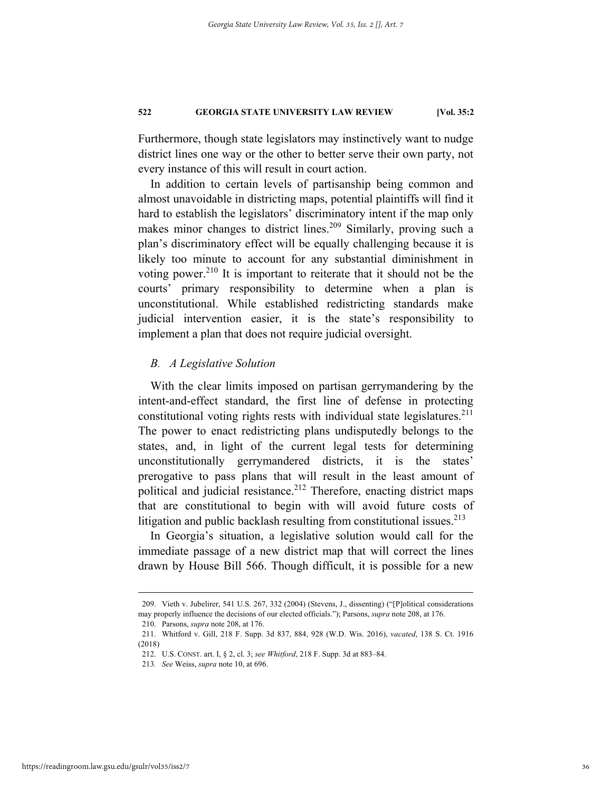Furthermore, though state legislators may instinctively want to nudge district lines one way or the other to better serve their own party, not every instance of this will result in court action.

In addition to certain levels of partisanship being common and almost unavoidable in districting maps, potential plaintiffs will find it hard to establish the legislators' discriminatory intent if the map only makes minor changes to district lines.<sup>209</sup> Similarly, proving such a plan's discriminatory effect will be equally challenging because it is likely too minute to account for any substantial diminishment in voting power.<sup>210</sup> It is important to reiterate that it should not be the courts' primary responsibility to determine when a plan is unconstitutional. While established redistricting standards make judicial intervention easier, it is the state's responsibility to implement a plan that does not require judicial oversight.

#### *B. A Legislative Solution*

With the clear limits imposed on partisan gerrymandering by the intent-and-effect standard, the first line of defense in protecting constitutional voting rights rests with individual state legislatures. $^{211}$ The power to enact redistricting plans undisputedly belongs to the states, and, in light of the current legal tests for determining unconstitutionally gerrymandered districts, it is the states' prerogative to pass plans that will result in the least amount of political and judicial resistance.<sup>212</sup> Therefore, enacting district maps that are constitutional to begin with will avoid future costs of litigation and public backlash resulting from constitutional issues. $213$ 

In Georgia's situation, a legislative solution would call for the immediate passage of a new district map that will correct the lines drawn by House Bill 566. Though difficult, it is possible for a new

 <sup>209.</sup> Vieth v. Jubelirer, 541 U.S. 267, 332 (2004) (Stevens, J., dissenting) ("[P]olitical considerations may properly influence the decisions of our elected officials."); Parsons, *supra* note 208, at 176.

 <sup>210.</sup> Parsons, *supra* note 208, at 176.

 <sup>211.</sup> Whitford v. Gill, 218 F. Supp. 3d 837, 884, 928 (W.D. Wis. 2016), *vacated*, 138 S. Ct. 1916 (2018)

 <sup>212.</sup> U.S. CONST. art. I, § 2, cl. 3; *see Whitford*, 218 F. Supp. 3d at 883–84.

<sup>213</sup>*. See* Weiss, *supra* note 10, at 696.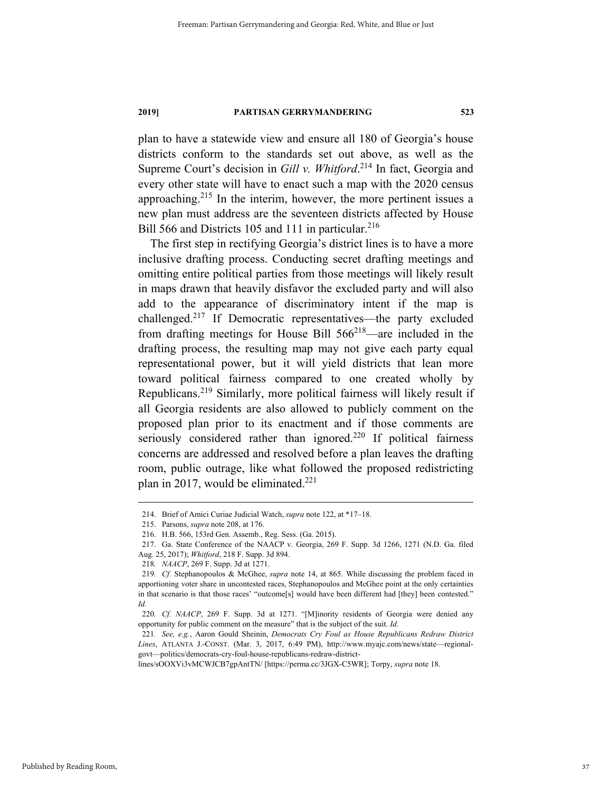plan to have a statewide view and ensure all 180 of Georgia's house districts conform to the standards set out above, as well as the Supreme Court's decision in *Gill v. Whitford*.<sup>214</sup> In fact, Georgia and every other state will have to enact such a map with the 2020 census approaching.<sup>215</sup> In the interim, however, the more pertinent issues a new plan must address are the seventeen districts affected by House Bill 566 and Districts 105 and 111 in particular.<sup>216</sup>

The first step in rectifying Georgia's district lines is to have a more inclusive drafting process. Conducting secret drafting meetings and omitting entire political parties from those meetings will likely result in maps drawn that heavily disfavor the excluded party and will also add to the appearance of discriminatory intent if the map is challenged.217 If Democratic representatives—the party excluded from drafting meetings for House Bill  $566^{218}$ —are included in the drafting process, the resulting map may not give each party equal representational power, but it will yield districts that lean more toward political fairness compared to one created wholly by Republicans.219 Similarly, more political fairness will likely result if all Georgia residents are also allowed to publicly comment on the proposed plan prior to its enactment and if those comments are seriously considered rather than ignored.<sup>220</sup> If political fairness concerns are addressed and resolved before a plan leaves the drafting room, public outrage, like what followed the proposed redistricting plan in 2017, would be eliminated. $^{221}$ 

 <sup>214.</sup> Brief of Amici Curiae Judicial Watch, *supra* note 122, at \*17–18.

 <sup>215.</sup> Parsons, *supra* note 208, at 176.

 <sup>216.</sup> H.B. 566, 153rd Gen. Assemb., Reg. Sess. (Ga. 2015).

 <sup>217.</sup> Ga. State Conference of the NAACP v. Georgia, 269 F. Supp. 3d 1266, 1271 (N.D. Ga. filed Aug. 25, 2017); *Whitford*, 218 F. Supp. 3d 894.

<sup>218</sup>*. NAACP*, 269 F. Supp. 3d at 1271.

<sup>219</sup>*. Cf.* Stephanopoulos & McGhee, *supra* note 14, at 865. While discussing the problem faced in apportioning voter share in uncontested races, Stephanopoulos and McGhee point at the only certainties in that scenario is that those races' "outcome[s] would have been different had [they] been contested." *Id.* 

<sup>220</sup>*. Cf. NAACP*, 269 F. Supp. 3d at 1271. "[M]inority residents of Georgia were denied any opportunity for public comment on the measure" that is the subject of the suit. *Id.* 

<sup>221</sup>*. See, e.g.*, Aaron Gould Sheinin, *Democrats Cry Foul as House Republicans Redraw District Lines*, ATLANTA J.-CONST. (Mar. 3, 2017, 6:49 PM), http://www.myajc.com/news/state—regionalgovt—politics/democrats-cry-foul-house-republicans-redraw-district-

lines/sOOXVi3vMCWJCB7gpAntTN/ [https://perma.cc/3JGX-C5WR]; Torpy, *supra* note 18.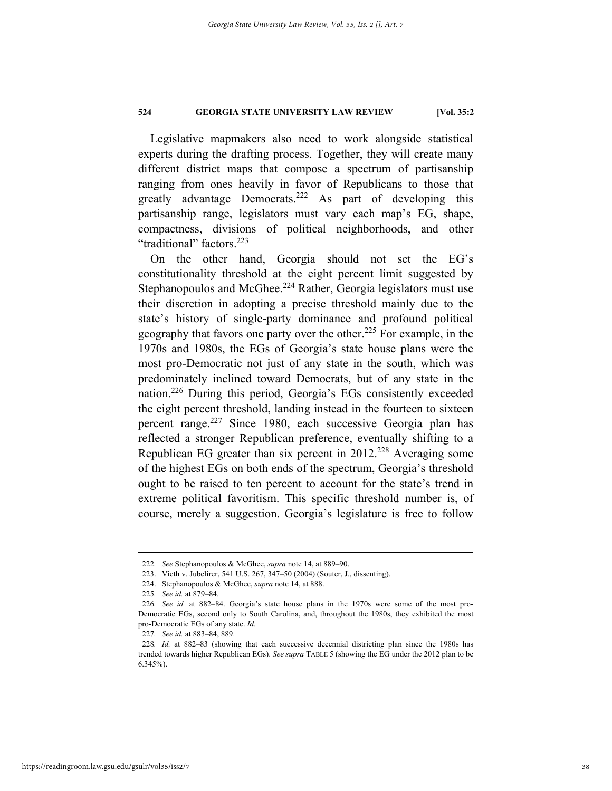Legislative mapmakers also need to work alongside statistical experts during the drafting process. Together, they will create many different district maps that compose a spectrum of partisanship ranging from ones heavily in favor of Republicans to those that greatly advantage Democrats.<sup>222</sup> As part of developing this partisanship range, legislators must vary each map's EG, shape, compactness, divisions of political neighborhoods, and other "traditional" factors.<sup>223</sup>

On the other hand, Georgia should not set the EG's constitutionality threshold at the eight percent limit suggested by Stephanopoulos and McGhee.<sup>224</sup> Rather, Georgia legislators must use their discretion in adopting a precise threshold mainly due to the state's history of single-party dominance and profound political geography that favors one party over the other.225 For example, in the 1970s and 1980s, the EGs of Georgia's state house plans were the most pro-Democratic not just of any state in the south, which was predominately inclined toward Democrats, but of any state in the nation.226 During this period, Georgia's EGs consistently exceeded the eight percent threshold, landing instead in the fourteen to sixteen percent range.<sup>227</sup> Since 1980, each successive Georgia plan has reflected a stronger Republican preference, eventually shifting to a Republican EG greater than six percent in 2012.<sup>228</sup> Averaging some of the highest EGs on both ends of the spectrum, Georgia's threshold ought to be raised to ten percent to account for the state's trend in extreme political favoritism. This specific threshold number is, of course, merely a suggestion. Georgia's legislature is free to follow

 <sup>222</sup>*. See* Stephanopoulos & McGhee, *supra* note 14, at 889–90.

 <sup>223.</sup> Vieth v. Jubelirer, 541 U.S. 267, 347–50 (2004) (Souter, J., dissenting).

 <sup>224.</sup> Stephanopoulos & McGhee, *supra* note 14, at 888.

<sup>225</sup>*. See id.* at 879–84.

<sup>226</sup>*. See id.* at 882–84. Georgia's state house plans in the 1970s were some of the most pro-Democratic EGs, second only to South Carolina, and, throughout the 1980s, they exhibited the most pro-Democratic EGs of any state. *Id.*

<sup>227</sup>*. See id.* at 883–84, 889.

<sup>228</sup>*. Id.* at 882–83 (showing that each successive decennial districting plan since the 1980s has trended towards higher Republican EGs). *See supra* TABLE 5 (showing the EG under the 2012 plan to be 6.345%).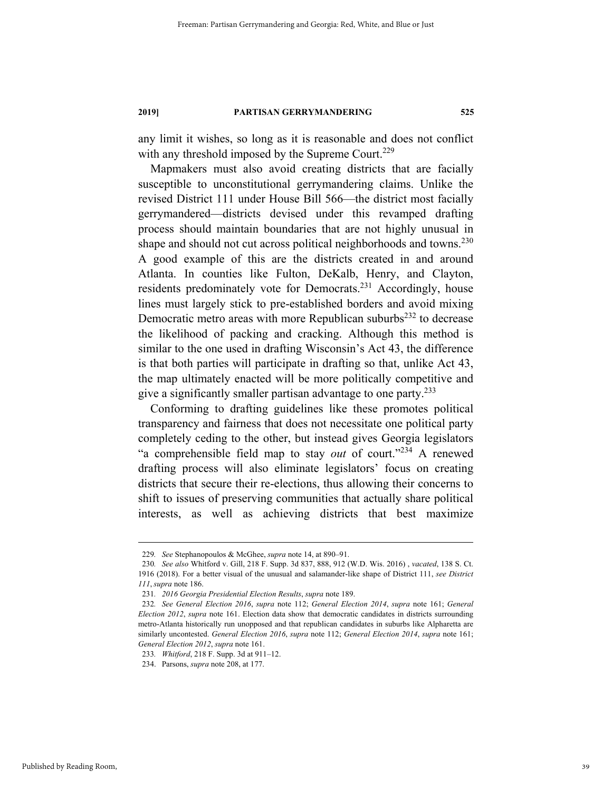any limit it wishes, so long as it is reasonable and does not conflict with any threshold imposed by the Supreme Court.<sup>229</sup>

Mapmakers must also avoid creating districts that are facially susceptible to unconstitutional gerrymandering claims. Unlike the revised District 111 under House Bill 566—the district most facially gerrymandered—districts devised under this revamped drafting process should maintain boundaries that are not highly unusual in shape and should not cut across political neighborhoods and towns.<sup>230</sup> A good example of this are the districts created in and around Atlanta. In counties like Fulton, DeKalb, Henry, and Clayton, residents predominately vote for Democrats.<sup>231</sup> Accordingly, house lines must largely stick to pre-established borders and avoid mixing Democratic metro areas with more Republican suburbs<sup>232</sup> to decrease the likelihood of packing and cracking. Although this method is similar to the one used in drafting Wisconsin's Act 43, the difference is that both parties will participate in drafting so that, unlike Act 43, the map ultimately enacted will be more politically competitive and give a significantly smaller partisan advantage to one party.<sup>233</sup>

Conforming to drafting guidelines like these promotes political transparency and fairness that does not necessitate one political party completely ceding to the other, but instead gives Georgia legislators "a comprehensible field map to stay *out* of court."234 A renewed drafting process will also eliminate legislators' focus on creating districts that secure their re-elections, thus allowing their concerns to shift to issues of preserving communities that actually share political interests, as well as achieving districts that best maximize

 <sup>229</sup>*. See* Stephanopoulos & McGhee, *supra* note 14, at 890–91.

<sup>230</sup>*. See also* Whitford v. Gill, 218 F. Supp. 3d 837, 888, 912 (W.D. Wis. 2016) , *vacated*, 138 S. Ct. 1916 (2018). For a better visual of the unusual and salamander-like shape of District 111, *see District 111*, *supra* note 186.

<sup>231</sup>*. 2016 Georgia Presidential Election Results*, *supra* note 189.

<sup>232</sup>*. See General Election 2016*, *supra* note 112; *General Election 2014*, *supra* note 161; *General Election 2012*, *supra* note 161. Election data show that democratic candidates in districts surrounding metro-Atlanta historically run unopposed and that republican candidates in suburbs like Alpharetta are similarly uncontested. *General Election 2016*, *supra* note 112; *General Election 2014*, *supra* note 161; *General Election 2012*, *supra* note 161.

<sup>233</sup>*. Whitford*, 218 F. Supp. 3d at 911–12.

 <sup>234.</sup> Parsons, *supra* note 208, at 177.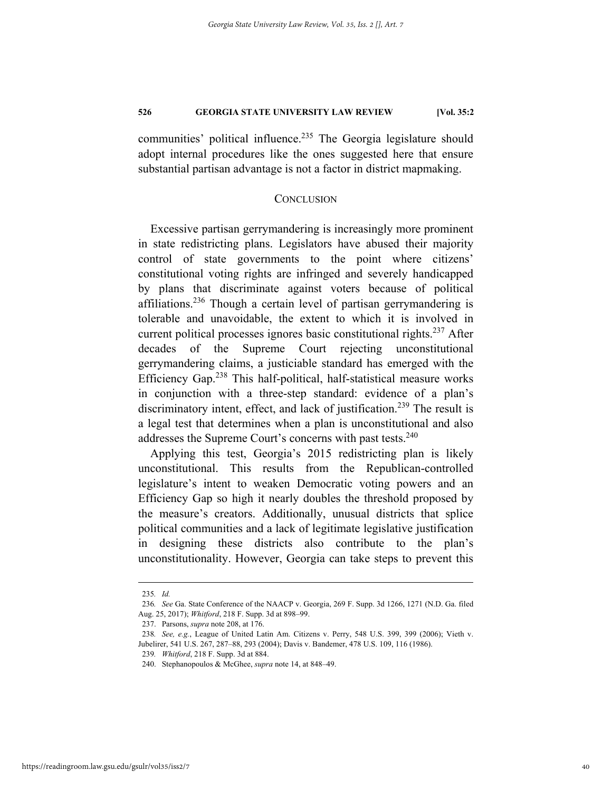communities' political influence.<sup>235</sup> The Georgia legislature should adopt internal procedures like the ones suggested here that ensure substantial partisan advantage is not a factor in district mapmaking.

#### **CONCLUSION**

Excessive partisan gerrymandering is increasingly more prominent in state redistricting plans. Legislators have abused their majority control of state governments to the point where citizens' constitutional voting rights are infringed and severely handicapped by plans that discriminate against voters because of political affiliations.<sup>236</sup> Though a certain level of partisan gerrymandering is tolerable and unavoidable, the extent to which it is involved in current political processes ignores basic constitutional rights. 237 After decades of the Supreme Court rejecting unconstitutional gerrymandering claims, a justiciable standard has emerged with the Efficiency Gap.<sup>238</sup> This half-political, half-statistical measure works in conjunction with a three-step standard: evidence of a plan's discriminatory intent, effect, and lack of justification.<sup>239</sup> The result is a legal test that determines when a plan is unconstitutional and also addresses the Supreme Court's concerns with past tests.<sup>240</sup>

Applying this test, Georgia's 2015 redistricting plan is likely unconstitutional. This results from the Republican-controlled legislature's intent to weaken Democratic voting powers and an Efficiency Gap so high it nearly doubles the threshold proposed by the measure's creators. Additionally, unusual districts that splice political communities and a lack of legitimate legislative justification in designing these districts also contribute to the plan's unconstitutionality. However, Georgia can take steps to prevent this

 <sup>235</sup>*. Id.*

<sup>236</sup>*. See* Ga. State Conference of the NAACP v. Georgia, 269 F. Supp. 3d 1266, 1271 (N.D. Ga. filed Aug. 25, 2017); *Whitford*, 218 F. Supp. 3d at 898–99.

 <sup>237.</sup> Parsons, *supra* note 208, at 176.

<sup>238</sup>*. See, e.g.*, League of United Latin Am. Citizens v. Perry, 548 U.S. 399, 399 (2006); Vieth v. Jubelirer, 541 U.S. 267, 287–88, 293 (2004); Davis v. Bandemer, 478 U.S. 109, 116 (1986).

<sup>239</sup>*. Whitford*, 218 F. Supp. 3d at 884.

 <sup>240.</sup> Stephanopoulos & McGhee, *supra* note 14, at 848–49.